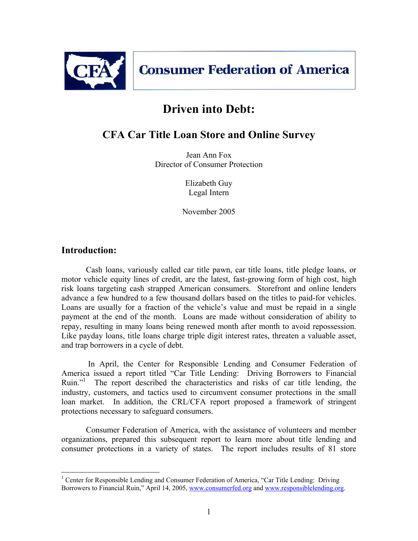

# **Driven into Debt:**

# **CFA Car Title Loan Store and Online Survey**

Jean Ann Fox Director of Consumer Protection

> Elizabeth Guy Legal Intern

November 2005

### **Introduction:**

1

 Cash loans, variously called car title pawn, car title loans, title pledge loans, or motor vehicle equity lines of credit, are the latest, fast-growing form of high cost, high risk loans targeting cash strapped American consumers. Storefront and online lenders advance a few hundred to a few thousand dollars based on the titles to paid-for vehicles. Loans are usually for a fraction of the vehicle's value and must be repaid in a single payment at the end of the month. Loans are made without consideration of ability to repay, resulting in many loans being renewed month after month to avoid repossession. Like payday loans, title loans charge triple digit interest rates, threaten a valuable asset, and trap borrowers in a cycle of debt.

 In April, the Center for Responsible Lending and Consumer Federation of America issued a report titled "Car Title Lending: Driving Borrowers to Financial Ruin."<sup>1</sup> The report described the characteristics and risks of car title lending, the industry, customers, and tactics used to circumvent consumer protections in the small loan market. In addition, the CRL/CFA report proposed a framework of stringent protections necessary to safeguard consumers.

 Consumer Federation of America, with the assistance of volunteers and member organizations, prepared this subsequent report to learn more about title lending and consumer protections in a variety of states. The report includes results of 81 store

<sup>&</sup>lt;sup>1</sup> Center for Responsible Lending and Consumer Federation of America, "Car Title Lending: Driving Borrowers to Financial Ruin," April 14, 2005, www.consumerfed.org and www.responsiblelending.org.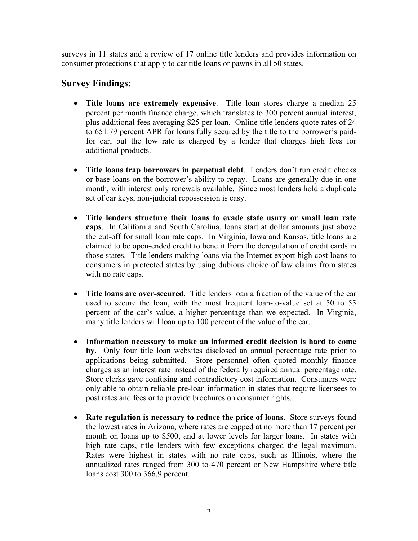surveys in 11 states and a review of 17 online title lenders and provides information on consumer protections that apply to car title loans or pawns in all 50 states.

## **Survey Findings:**

- **Title loans are extremely expensive**. Title loan stores charge a median 25 percent per month finance charge, which translates to 300 percent annual interest, plus additional fees averaging \$25 per loan. Online title lenders quote rates of 24 to 651.79 percent APR for loans fully secured by the title to the borrower's paidfor car, but the low rate is charged by a lender that charges high fees for additional products.
- **Title loans trap borrowers in perpetual debt**. Lenders don't run credit checks or base loans on the borrower's ability to repay. Loans are generally due in one month, with interest only renewals available. Since most lenders hold a duplicate set of car keys, non-judicial repossession is easy.
- **Title lenders structure their loans to evade state usury or small loan rate caps**. In California and South Carolina, loans start at dollar amounts just above the cut-off for small loan rate caps. In Virginia, Iowa and Kansas, title loans are claimed to be open-ended credit to benefit from the deregulation of credit cards in those states. Title lenders making loans via the Internet export high cost loans to consumers in protected states by using dubious choice of law claims from states with no rate caps.
- **Title loans are over-secured**. Title lenders loan a fraction of the value of the car used to secure the loan, with the most frequent loan-to-value set at 50 to 55 percent of the car's value, a higher percentage than we expected. In Virginia, many title lenders will loan up to 100 percent of the value of the car.
- **Information necessary to make an informed credit decision is hard to come by**. Only four title loan websites disclosed an annual percentage rate prior to applications being submitted. Store personnel often quoted monthly finance charges as an interest rate instead of the federally required annual percentage rate. Store clerks gave confusing and contradictory cost information. Consumers were only able to obtain reliable pre-loan information in states that require licensees to post rates and fees or to provide brochures on consumer rights.
- **Rate regulation is necessary to reduce the price of loans**. Store surveys found the lowest rates in Arizona, where rates are capped at no more than 17 percent per month on loans up to \$500, and at lower levels for larger loans. In states with high rate caps, title lenders with few exceptions charged the legal maximum. Rates were highest in states with no rate caps, such as Illinois, where the annualized rates ranged from 300 to 470 percent or New Hampshire where title loans cost 300 to 366.9 percent.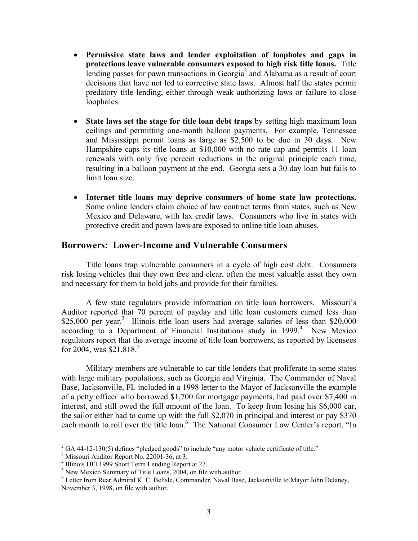- **Permissive state laws and lender exploitation of loopholes and gaps in protections leave vulnerable consumers exposed to high risk title loans.** Title lending passes for pawn transactions in Georgia<sup>2</sup> and Alabama as a result of court decisions that have not led to corrective state laws. Almost half the states permit predatory title lending, either through weak authorizing laws or failure to close loopholes.
- **State laws set the stage for title loan debt traps** by setting high maximum loan ceilings and permitting one-month balloon payments. For example, Tennessee and Mississippi permit loans as large as \$2,500 to be due in 30 days. New Hampshire caps its title loans at \$10,000 with no rate cap and permits 11 loan renewals with only five percent reductions in the original principle each time, resulting in a balloon payment at the end. Georgia sets a 30 day loan but fails to limit loan size.
- **Internet title loans may deprive consumers of home state law protections.** Some online lenders claim choice of law contract terms from states, such as New Mexico and Delaware, with lax credit laws. Consumers who live in states with protective credit and pawn laws are exposed to online title loan abuses.

### **Borrowers: Lower-Income and Vulnerable Consumers**

 Title loans trap vulnerable consumers in a cycle of high cost debt. Consumers risk losing vehicles that they own free and clear, often the most valuable asset they own and necessary for them to hold jobs and provide for their families.

A few state regulators provide information on title loan borrowers. Missouri's Auditor reported that 70 percent of payday and title loan customers earned less than \$25,000 per year.<sup>3</sup> Illinois title loan users had average salaries of less than \$20,000 according to a Department of Financial Institutions study in  $1999$ .<sup>4</sup> New Mexico regulators report that the average income of title loan borrowers, as reported by licensees for 2004, was  $$21,818$ .<sup>5</sup>

 Military members are vulnerable to car title lenders that proliferate in some states with large military populations, such as Georgia and Virginia. The Commander of Naval Base, Jacksonville, FL included in a 1998 letter to the Mayor of Jacksonville the example of a petty officer who borrowed \$1,700 for mortgage payments, had paid over \$7,400 in interest, and still owed the full amount of the loan. To keep from losing his \$6,000 car, the sailor either had to come up with the full \$2,070 in principal and interest or pay \$370 each month to roll over the title loan.<sup>6</sup> The National Consumer Law Center's report, "In

 $^{2}$  GA 44-12-130(5) defines "pledged goods" to include "any motor vehicle certificate of title."<br><sup>3</sup> Missouri Auditor B sport No. 22001, 36, et 3

<sup>&</sup>lt;sup>3</sup> Missouri Auditor Report No. 22001-36, at 3.

<sup>4</sup> Illinois DFI 1999 Short Term Lending Report at 27.

<sup>&</sup>lt;sup>5</sup> New Mexico Summary of Title Loans, 2004, on file with author.

<sup>&</sup>lt;sup>6</sup> Letter from Rear Admiral K. C. Belisle, Commander, Naval Base, Jacksonville to Mayor John Delaney, November 3, 1998, on file with author.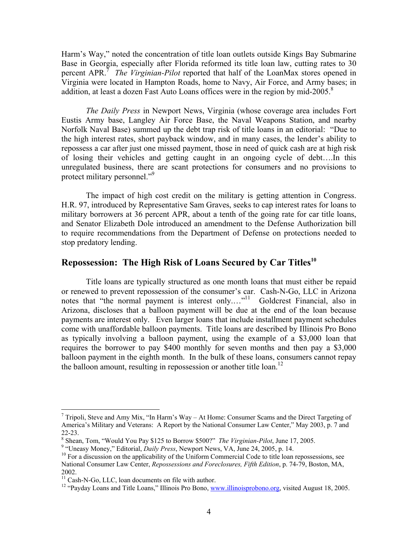Harm's Way," noted the concentration of title loan outlets outside Kings Bay Submarine Base in Georgia, especially after Florida reformed its title loan law, cutting rates to 30 percent APR.<sup>7</sup> *The Virginian-Pilot* reported that half of the LoanMax stores opened in Virginia were located in Hampton Roads, home to Navy, Air Force, and Army bases; in addition, at least a dozen Fast Auto Loans offices were in the region by mid-2005.<sup>8</sup>

*The Daily Press* in Newport News, Virginia (whose coverage area includes Fort Eustis Army base, Langley Air Force Base, the Naval Weapons Station, and nearby Norfolk Naval Base) summed up the debt trap risk of title loans in an editorial: "Due to the high interest rates, short payback window, and in many cases, the lender's ability to repossess a car after just one missed payment, those in need of quick cash are at high risk of losing their vehicles and getting caught in an ongoing cycle of debt….In this unregulated business, there are scant protections for consumers and no provisions to protect military personnel."<sup>9</sup>

The impact of high cost credit on the military is getting attention in Congress. H.R. 97, introduced by Representative Sam Graves, seeks to cap interest rates for loans to military borrowers at 36 percent APR, about a tenth of the going rate for car title loans, and Senator Elizabeth Dole introduced an amendment to the Defense Authorization bill to require recommendations from the Department of Defense on protections needed to stop predatory lending.

### **Repossession: The High Risk of Loans Secured by Car Titles10**

Title loans are typically structured as one month loans that must either be repaid or renewed to prevent repossession of the consumer's car. Cash-N-Go, LLC in Arizona notes that "the normal payment is interest only...."<sup>11</sup> Goldcrest Financial, also in Arizona, discloses that a balloon payment will be due at the end of the loan because payments are interest only. Even larger loans that include installment payment schedules come with unaffordable balloon payments. Title loans are described by Illinois Pro Bono as typically involving a balloon payment, using the example of a \$3,000 loan that requires the borrower to pay \$400 monthly for seven months and then pay a \$3,000 balloon payment in the eighth month. In the bulk of these loans, consumers cannot repay the balloon amount, resulting in repossession or another title  $\alpha$ <sup>12</sup>

 $\overline{a}$ 

<sup>&</sup>lt;sup>7</sup> Tripoli, Steve and Amy Mix, "In Harm's Way – At Home: Consumer Scams and the Direct Targeting of America's Military and Veterans: A Report by the National Consumer Law Center," May 2003, p. 7 and 22-23.

<sup>&</sup>lt;sup>8</sup> Shean, Tom, "Would You Pay \$125 to Borrow \$500?" *The Virginian-Pilot*, June 17, 2005.

<sup>&</sup>lt;sup>9</sup> "Uneasy Money," Editorial, *Daily Press*, Newport News, VA, June 24, 2005, p. 14.<br><sup>10</sup> For a discussion on the applicability of the Uniform Commercial Code to title loan repossessions, see National Consumer Law Center, *Repossessions and Foreclosures, Fifth Edition*, p. 74-79, Boston, MA, 2002.

 $11$  Cash-N-Go, LLC, loan documents on file with author.

<sup>&</sup>lt;sup>12</sup> "Payday Loans and Title Loans," Illinois Pro Bono, www.illinoisprobono.org, visited August 18, 2005.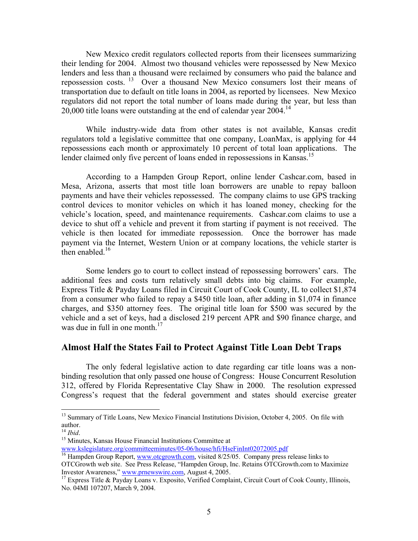New Mexico credit regulators collected reports from their licensees summarizing their lending for 2004. Almost two thousand vehicles were repossessed by New Mexico lenders and less than a thousand were reclaimed by consumers who paid the balance and repossession costs. <sup>13</sup> Over a thousand New Mexico consumers lost their means of transportation due to default on title loans in 2004, as reported by licensees. New Mexico regulators did not report the total number of loans made during the year, but less than 20,000 title loans were outstanding at the end of calendar year  $2004$ .<sup>14</sup>

While industry-wide data from other states is not available, Kansas credit regulators told a legislative committee that one company, LoanMax, is applying for 44 repossessions each month or approximately 10 percent of total loan applications. The lender claimed only five percent of loans ended in repossessions in Kansas.<sup>15</sup>

According to a Hampden Group Report, online lender Cashcar.com, based in Mesa, Arizona, asserts that most title loan borrowers are unable to repay balloon payments and have their vehicles repossessed. The company claims to use GPS tracking control devices to monitor vehicles on which it has loaned money, checking for the vehicle's location, speed, and maintenance requirements. Cashcar.com claims to use a device to shut off a vehicle and prevent it from starting if payment is not received. The vehicle is then located for immediate repossession. Once the borrower has made payment via the Internet, Western Union or at company locations, the vehicle starter is then enabled. $16$ 

Some lenders go to court to collect instead of repossessing borrowers' cars. The additional fees and costs turn relatively small debts into big claims. For example, Express Title & Payday Loans filed in Circuit Court of Cook County, IL to collect \$1,874 from a consumer who failed to repay a \$450 title loan, after adding in \$1,074 in finance charges, and \$350 attorney fees. The original title loan for \$500 was secured by the vehicle and a set of keys, had a disclosed 219 percent APR and \$90 finance charge, and was due in full in one month.<sup>17</sup>

### **Almost Half the States Fail to Protect Against Title Loan Debt Traps**

The only federal legislative action to date regarding car title loans was a nonbinding resolution that only passed one house of Congress: House Concurrent Resolution 312, offered by Florida Representative Clay Shaw in 2000. The resolution expressed Congress's request that the federal government and states should exercise greater

 $\overline{a}$ 

<sup>&</sup>lt;sup>13</sup> Summary of Title Loans, New Mexico Financial Institutions Division, October 4, 2005. On file with author.<br> $^{14}$  *Ibid.* 

<sup>&</sup>lt;sup>15</sup> Minutes, Kansas House Financial Institutions Committee at<br>www.kslegislature.org/committeeminutes/05-06/house/hfi/HseFinInt02072005.pdf

<sup>&</sup>lt;sup>16</sup> Hampden Group Report, www.otcgrowth.com, visited 8/25/05. Company press release links to OTCGrowth web site. See Press Release, "Hampden Group, Inc. Retains OTCGrowth.com to Maximize Investor Awareness," www.prnewswire.com, August 4, 2005.

<sup>&</sup>lt;sup>17</sup> Express Title & Payday Loans v. Exposito, Verified Complaint, Circuit Court of Cook County, Illinois, No. 04MI 107207, March 9, 2004.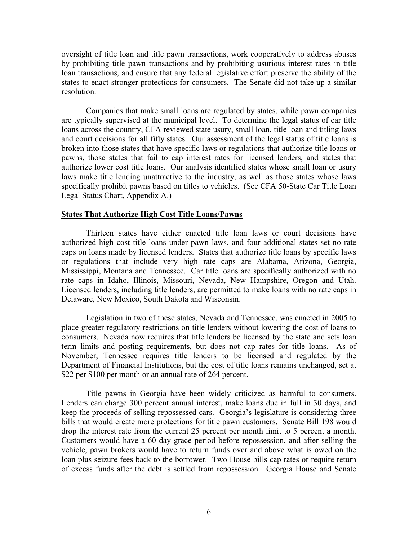oversight of title loan and title pawn transactions, work cooperatively to address abuses by prohibiting title pawn transactions and by prohibiting usurious interest rates in title loan transactions, and ensure that any federal legislative effort preserve the ability of the states to enact stronger protections for consumers. The Senate did not take up a similar resolution.

Companies that make small loans are regulated by states, while pawn companies are typically supervised at the municipal level. To determine the legal status of car title loans across the country, CFA reviewed state usury, small loan, title loan and titling laws and court decisions for all fifty states. Our assessment of the legal status of title loans is broken into those states that have specific laws or regulations that authorize title loans or pawns, those states that fail to cap interest rates for licensed lenders, and states that authorize lower cost title loans. Our analysis identified states whose small loan or usury laws make title lending unattractive to the industry, as well as those states whose laws specifically prohibit pawns based on titles to vehicles. (See CFA 50-State Car Title Loan Legal Status Chart, Appendix A.)

#### **States That Authorize High Cost Title Loans/Pawns**

Thirteen states have either enacted title loan laws or court decisions have authorized high cost title loans under pawn laws, and four additional states set no rate caps on loans made by licensed lenders. States that authorize title loans by specific laws or regulations that include very high rate caps are Alabama, Arizona, Georgia, Mississippi, Montana and Tennessee. Car title loans are specifically authorized with no rate caps in Idaho, Illinois, Missouri, Nevada, New Hampshire, Oregon and Utah. Licensed lenders, including title lenders, are permitted to make loans with no rate caps in Delaware, New Mexico, South Dakota and Wisconsin.

Legislation in two of these states, Nevada and Tennessee, was enacted in 2005 to place greater regulatory restrictions on title lenders without lowering the cost of loans to consumers. Nevada now requires that title lenders be licensed by the state and sets loan term limits and posting requirements, but does not cap rates for title loans. As of November, Tennessee requires title lenders to be licensed and regulated by the Department of Financial Institutions, but the cost of title loans remains unchanged, set at \$22 per \$100 per month or an annual rate of 264 percent.

Title pawns in Georgia have been widely criticized as harmful to consumers. Lenders can charge 300 percent annual interest, make loans due in full in 30 days, and keep the proceeds of selling repossessed cars. Georgia's legislature is considering three bills that would create more protections for title pawn customers. Senate Bill 198 would drop the interest rate from the current 25 percent per month limit to 5 percent a month. Customers would have a 60 day grace period before repossession, and after selling the vehicle, pawn brokers would have to return funds over and above what is owed on the loan plus seizure fees back to the borrower. Two House bills cap rates or require return of excess funds after the debt is settled from repossession. Georgia House and Senate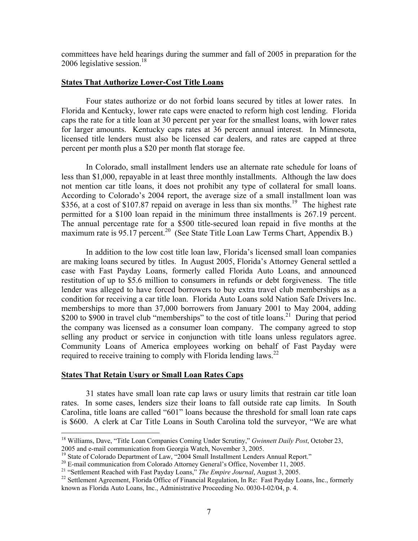committees have held hearings during the summer and fall of 2005 in preparation for the 2006 legislative session.<sup>18</sup>

#### **States That Authorize Lower-Cost Title Loans**

 Four states authorize or do not forbid loans secured by titles at lower rates. In Florida and Kentucky, lower rate caps were enacted to reform high cost lending. Florida caps the rate for a title loan at 30 percent per year for the smallest loans, with lower rates for larger amounts. Kentucky caps rates at 36 percent annual interest. In Minnesota, licensed title lenders must also be licensed car dealers, and rates are capped at three percent per month plus a \$20 per month flat storage fee.

In Colorado, small installment lenders use an alternate rate schedule for loans of less than \$1,000, repayable in at least three monthly installments. Although the law does not mention car title loans, it does not prohibit any type of collateral for small loans. According to Colorado's 2004 report, the average size of a small installment loan was \$356, at a cost of \$107.87 repaid on average in less than six months.<sup>19</sup> The highest rate permitted for a \$100 loan repaid in the minimum three installments is 267.19 percent. The annual percentage rate for a \$500 title-secured loan repaid in five months at the maximum rate is 95.17 percent.<sup>20</sup> (See State Title Loan Law Terms Chart, Appendix B.)

 In addition to the low cost title loan law, Florida's licensed small loan companies are making loans secured by titles. In August 2005, Florida's Attorney General settled a case with Fast Payday Loans, formerly called Florida Auto Loans, and announced restitution of up to \$5.6 million to consumers in refunds or debt forgiveness. The title lender was alleged to have forced borrowers to buy extra travel club memberships as a condition for receiving a car title loan. Florida Auto Loans sold Nation Safe Drivers Inc. memberships to more than 37,000 borrowers from January 2001 to May 2004, adding \$200 to \$900 in travel club "memberships" to the cost of title loans.<sup>21</sup> During that period the company was licensed as a consumer loan company. The company agreed to stop selling any product or service in conjunction with title loans unless regulators agree. Community Loans of America employees working on behalf of Fast Payday were required to receive training to comply with Florida lending laws.<sup>22</sup>

#### **States That Retain Usury or Small Loan Rates Caps**

<u>.</u>

 31 states have small loan rate cap laws or usury limits that restrain car title loan rates. In some cases, lenders size their loans to fall outside rate cap limits. In South Carolina, title loans are called "601" loans because the threshold for small loan rate caps is \$600. A clerk at Car Title Loans in South Carolina told the surveyor, "We are what

<sup>18</sup> Williams, Dave, "Title Loan Companies Coming Under Scrutiny," *Gwinnett Daily Post*, October 23, 2005 and e-mail communication from Georgia Watch, November 3, 2005.

<sup>&</sup>lt;sup>20</sup> E-mail communication from Colorado Attorney General's Office, November 11, 2005.<br><sup>21</sup> "Settlement Reached with Fast Payday Loans," *The Empire Journal*, August 3, 2005.

<sup>&</sup>lt;sup>22</sup> Settlement Agreement, Florida Office of Financial Regulation, In Re: Fast Payday Loans, Inc., formerly known as Florida Auto Loans, Inc., Administrative Proceeding No. 0030-I-02/04, p. 4.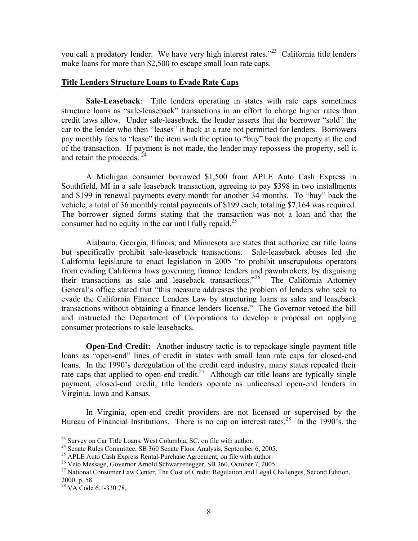you call a predatory lender. We have very high interest rates."<sup>23</sup> California title lenders make loans for more than \$2,500 to escape small loan rate caps.

#### **Title Lenders Structure Loans to Evade Rate Caps**

**Sale-Leaseback**: Title lenders operating in states with rate caps sometimes structure loans as "sale-leaseback" transactions in an effort to charge higher rates than credit laws allow. Under sale-leaseback, the lender asserts that the borrower "sold" the car to the lender who then "leases" it back at a rate not permitted for lenders. Borrowers pay monthly fees to "lease" the item with the option to "buy" back the property at the end of the transaction. If payment is not made, the lender may repossess the property, sell it and retain the proceeds. 24

A Michigan consumer borrowed \$1,500 from APLE Auto Cash Express in Southfield, MI in a sale leaseback transaction, agreeing to pay \$398 in two installments and \$199 in renewal payments every month for another 34 months. To "buy" back the vehicle, a total of 36 monthly rental payments of \$199 each, totaling \$7,164 was required. The borrower signed forms stating that the transaction was not a loan and that the consumer had no equity in the car until fully repaid.<sup>25</sup>

Alabama, Georgia, Illinois, and Minnesota are states that authorize car title loans but specifically prohibit sale-leaseback transactions. Sale-leaseback abuses led the California legislature to enact legislation in 2005 "to prohibit unscrupulous operators from evading California laws governing finance lenders and pawnbrokers, by disguising their transactions as sale and leaseback transactions."26 The California Attorney General's office stated that "this measure addresses the problem of lenders who seek to evade the California Finance Lenders Law by structuring loans as sales and leaseback transactions without obtaining a finance lenders license." The Governor vetoed the bill and instructed the Department of Corporations to develop a proposal on applying consumer protections to sale leasebacks.

**Open-End Credit:** Another industry tactic is to repackage single payment title loans as "open-end" lines of credit in states with small loan rate caps for closed-end loans. In the 1990's deregulation of the credit card industry, many states repealed their rate caps that applied to open-end credit.<sup>27</sup> Although car title loans are typically single payment, closed-end credit, title lenders operate as unlicensed open-end lenders in Virginia, Iowa and Kansas.

In Virginia, open-end credit providers are not licensed or supervised by the Bureau of Financial Institutions. There is no cap on interest rates.<sup>28</sup> In the 1990's, the

 $\overline{a}$ <sup>23</sup> Survey on Car Title Loans, West Columbia, SC, on file with author.

<sup>&</sup>lt;sup>24</sup> Senate Rules Committee, SB 360 Senate Floor Analysis, September 6, 2005.<br><sup>25</sup> APLE Auto Cash Express Rental-Purchase Agreement, on file with author.

<sup>&</sup>lt;sup>26</sup> Veto Message, Governor Arnold Schwarzenegger, SB 360, October 7, 2005.

<sup>&</sup>lt;sup>27</sup> National Consumer Law Center, The Cost of Credit: Regulation and Legal Challenges, Second Edition, 2000, p. 58.

<sup>&</sup>lt;sup>28</sup> VA Code 6.1-330.78.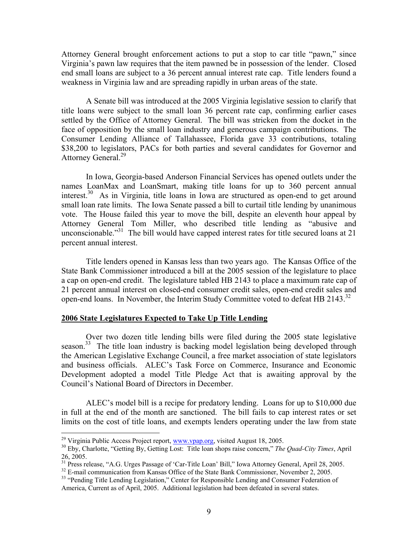Attorney General brought enforcement actions to put a stop to car title "pawn," since Virginia's pawn law requires that the item pawned be in possession of the lender. Closed end small loans are subject to a 36 percent annual interest rate cap. Title lenders found a weakness in Virginia law and are spreading rapidly in urban areas of the state.

A Senate bill was introduced at the 2005 Virginia legislative session to clarify that title loans were subject to the small loan 36 percent rate cap, confirming earlier cases settled by the Office of Attorney General. The bill was stricken from the docket in the face of opposition by the small loan industry and generous campaign contributions. The Consumer Lending Alliance of Tallahassee, Florida gave 33 contributions, totaling \$38,200 to legislators, PACs for both parties and several candidates for Governor and Attorney General.<sup>29</sup>

In Iowa, Georgia-based Anderson Financial Services has opened outlets under the names LoanMax and LoanSmart, making title loans for up to 360 percent annual interest.30 As in Virginia, title loans in Iowa are structured as open-end to get around small loan rate limits. The Iowa Senate passed a bill to curtail title lending by unanimous vote. The House failed this year to move the bill, despite an eleventh hour appeal by Attorney General Tom Miller, who described title lending as "abusive and unconscionable."<sup>31</sup> The bill would have capped interest rates for title secured loans at 21 percent annual interest.

Title lenders opened in Kansas less than two years ago. The Kansas Office of the State Bank Commissioner introduced a bill at the 2005 session of the legislature to place a cap on open-end credit. The legislature tabled HB 2143 to place a maximum rate cap of 21 percent annual interest on closed-end consumer credit sales, open-end credit sales and open-end loans. In November, the Interim Study Committee voted to defeat HB  $2143.^{32}$ 

#### **2006 State Legislatures Expected to Take Up Title Lending**

 Over two dozen title lending bills were filed during the 2005 state legislative season.<sup>33</sup> The title loan industry is backing model legislation being developed through the American Legislative Exchange Council, a free market association of state legislators and business officials. ALEC's Task Force on Commerce, Insurance and Economic Development adopted a model Title Pledge Act that is awaiting approval by the Council's National Board of Directors in December.

 ALEC's model bill is a recipe for predatory lending. Loans for up to \$10,000 due in full at the end of the month are sanctioned. The bill fails to cap interest rates or set limits on the cost of title loans, and exempts lenders operating under the law from state

<sup>&</sup>lt;sup>29</sup> Virginia Public Access Project report, www.vpap.org, visited August 18, 2005.

<sup>&</sup>lt;sup>30</sup> Eby, Charlotte, "Getting By, Getting Lost: Title loan shops raise concern," *The Quad-City Times*, April 26, 2005.

<sup>&</sup>lt;sup>31</sup> Press release, "A.G. Urges Passage of 'Car-Title Loan' Bill," Iowa Attorney General, April 28, 2005.<br><sup>32</sup> E-mail communication from Kansas Office of the State Bank Commissioner, November 2, 2005.

<sup>&</sup>lt;sup>33</sup> "Pending Title Lending Legislation," Center for Responsible Lending and Consumer Federation of America, Current as of April, 2005. Additional legislation had been defeated in several states.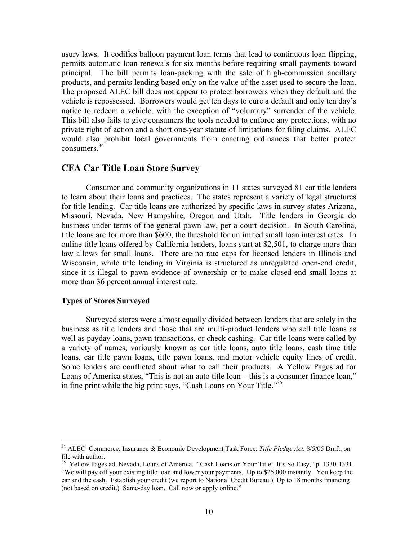usury laws. It codifies balloon payment loan terms that lead to continuous loan flipping, permits automatic loan renewals for six months before requiring small payments toward principal. The bill permits loan-packing with the sale of high-commission ancillary products, and permits lending based only on the value of the asset used to secure the loan. The proposed ALEC bill does not appear to protect borrowers when they default and the vehicle is repossessed. Borrowers would get ten days to cure a default and only ten day's notice to redeem a vehicle, with the exception of "voluntary" surrender of the vehicle. This bill also fails to give consumers the tools needed to enforce any protections, with no private right of action and a short one-year statute of limitations for filing claims. ALEC would also prohibit local governments from enacting ordinances that better protect consumers.34

### **CFA Car Title Loan Store Survey**

Consumer and community organizations in 11 states surveyed 81 car title lenders to learn about their loans and practices. The states represent a variety of legal structures for title lending. Car title loans are authorized by specific laws in survey states Arizona, Missouri, Nevada, New Hampshire, Oregon and Utah. Title lenders in Georgia do business under terms of the general pawn law, per a court decision. In South Carolina, title loans are for more than \$600, the threshold for unlimited small loan interest rates. In online title loans offered by California lenders, loans start at \$2,501, to charge more than law allows for small loans. There are no rate caps for licensed lenders in Illinois and Wisconsin, while title lending in Virginia is structured as unregulated open-end credit, since it is illegal to pawn evidence of ownership or to make closed-end small loans at more than 36 percent annual interest rate.

#### **Types of Stores Surveyed**

 $\overline{a}$ 

Surveyed stores were almost equally divided between lenders that are solely in the business as title lenders and those that are multi-product lenders who sell title loans as well as payday loans, pawn transactions, or check cashing. Car title loans were called by a variety of names, variously known as car title loans, auto title loans, cash time title loans, car title pawn loans, title pawn loans, and motor vehicle equity lines of credit. Some lenders are conflicted about what to call their products. A Yellow Pages ad for Loans of America states, "This is not an auto title loan – this is a consumer finance loan," in fine print while the big print says, "Cash Loans on Your Title."<sup>35</sup>

<sup>34</sup> ALEC Commerce, Insurance & Economic Development Task Force, *Title Pledge Act*, 8/5/05 Draft, on file with author.

<sup>&</sup>lt;sup>35</sup> Yellow Pages ad, Nevada, Loans of America. "Cash Loans on Your Title: It's So Easy," p. 1330-1331. "We will pay off your existing title loan and lower your payments. Up to \$25,000 instantly. You keep the car and the cash. Establish your credit (we report to National Credit Bureau.) Up to 18 months financing (not based on credit.) Same-day loan. Call now or apply online."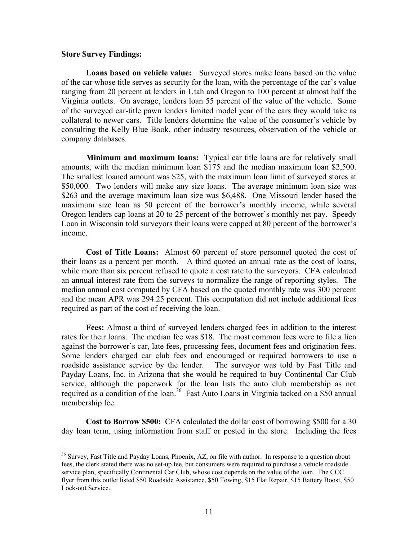#### **Store Survey Findings:**

1

**Loans based on vehicle value:** Surveyed stores make loans based on the value of the car whose title serves as security for the loan, with the percentage of the car's value ranging from 20 percent at lenders in Utah and Oregon to 100 percent at almost half the Virginia outlets. On average, lenders loan 55 percent of the value of the vehicle. Some of the surveyed car-title pawn lenders limited model year of the cars they would take as collateral to newer cars. Title lenders determine the value of the consumer's vehicle by consulting the Kelly Blue Book, other industry resources, observation of the vehicle or company databases.

**Minimum and maximum loans:** Typical car title loans are for relatively small amounts, with the median minimum loan \$175 and the median maximum loan \$2,500. The smallest loaned amount was \$25, with the maximum loan limit of surveyed stores at \$50,000. Two lenders will make any size loans. The average minimum loan size was \$263 and the average maximum loan size was \$6,488. One Missouri lender based the maximum size loan as 50 percent of the borrower's monthly income, while several Oregon lenders cap loans at 20 to 25 percent of the borrower's monthly net pay. Speedy Loan in Wisconsin told surveyors their loans were capped at 80 percent of the borrower's income.

**Cost of Title Loans:** Almost 60 percent of store personnel quoted the cost of their loans as a percent per month. A third quoted an annual rate as the cost of loans, while more than six percent refused to quote a cost rate to the surveyors. CFA calculated an annual interest rate from the surveys to normalize the range of reporting styles. The median annual cost computed by CFA based on the quoted monthly rate was 300 percent and the mean APR was 294.25 percent. This computation did not include additional fees required as part of the cost of receiving the loan.

**Fees:** Almost a third of surveyed lenders charged fees in addition to the interest rates for their loans. The median fee was \$18. The most common fees were to file a lien against the borrower's car, late fees, processing fees, document fees and origination fees. Some lenders charged car club fees and encouraged or required borrowers to use a roadside assistance service by the lender. The surveyor was told by Fast Title and Payday Loans, Inc. in Arizona that she would be required to buy Continental Car Club service, although the paperwork for the loan lists the auto club membership as not required as a condition of the loan.<sup>36</sup> Fast Auto Loans in Virginia tacked on a \$50 annual membership fee.

**Cost to Borrow \$500:** CFA calculated the dollar cost of borrowing \$500 for a 30 day loan term, using information from staff or posted in the store. Including the fees

<sup>&</sup>lt;sup>36</sup> Survey, Fast Title and Payday Loans, Phoenix, AZ, on file with author. In response to a question about fees, the clerk stated there was no set-up fee, but consumers were required to purchase a vehicle roadside service plan, specifically Continental Car Club, whose cost depends on the value of the loan. The CCC flyer from this outlet listed \$50 Roadside Assistance, \$50 Towing, \$15 Flat Repair, \$15 Battery Boost, \$50 Lock-out Service.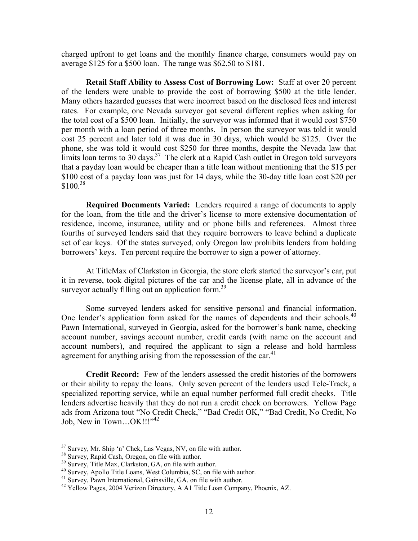charged upfront to get loans and the monthly finance charge, consumers would pay on average \$125 for a \$500 loan. The range was \$62.50 to \$181.

**Retail Staff Ability to Assess Cost of Borrowing Low:** Staff at over 20 percent of the lenders were unable to provide the cost of borrowing \$500 at the title lender. Many others hazarded guesses that were incorrect based on the disclosed fees and interest rates. For example, one Nevada surveyor got several different replies when asking for the total cost of a \$500 loan. Initially, the surveyor was informed that it would cost \$750 per month with a loan period of three months. In person the surveyor was told it would cost 25 percent and later told it was due in 30 days, which would be \$125. Over the phone, she was told it would cost \$250 for three months, despite the Nevada law that limits loan terms to 30 days.<sup>37</sup> The clerk at a Rapid Cash outlet in Oregon told surveyors that a payday loan would be cheaper than a title loan without mentioning that the \$15 per \$100 cost of a payday loan was just for 14 days, while the 30-day title loan cost \$20 per  $$100^{38}$ 

**Required Documents Varied:** Lenders required a range of documents to apply for the loan, from the title and the driver's license to more extensive documentation of residence, income, insurance, utility and or phone bills and references. Almost three fourths of surveyed lenders said that they require borrowers to leave behind a duplicate set of car keys. Of the states surveyed, only Oregon law prohibits lenders from holding borrowers' keys. Ten percent require the borrower to sign a power of attorney.

At TitleMax of Clarkston in Georgia, the store clerk started the surveyor's car, put it in reverse, took digital pictures of the car and the license plate, all in advance of the surveyor actually filling out an application form.<sup>39</sup>

Some surveyed lenders asked for sensitive personal and financial information. One lender's application form asked for the names of dependents and their schools.<sup>40</sup> Pawn International, surveyed in Georgia, asked for the borrower's bank name, checking account number, savings account number, credit cards (with name on the account and account numbers), and required the applicant to sign a release and hold harmless agreement for anything arising from the repossession of the car.<sup>41</sup>

**Credit Record:** Few of the lenders assessed the credit histories of the borrowers or their ability to repay the loans. Only seven percent of the lenders used Tele-Track, a specialized reporting service, while an equal number performed full credit checks. Title lenders advertise heavily that they do not run a credit check on borrowers. Yellow Page ads from Arizona tout "No Credit Check," "Bad Credit OK," "Bad Credit, No Credit, No Job, New in Town... $OK!!"^{42}$ 

 $\overline{a}$ 

<sup>&</sup>lt;sup>37</sup> Survey, Mr. Ship 'n' Chek, Las Vegas, NV, on file with author.

<sup>&</sup>lt;sup>38</sup> Survey, Rapid Cash, Oregon, on file with author.

<sup>39</sup> Survey, Title Max, Clarkston, GA, on file with author.

<sup>40</sup> Survey, Apollo Title Loans, West Columbia, SC, on file with author.

<sup>&</sup>lt;sup>41</sup> Survey, Pawn International, Gainsville, GA, on file with author.

<sup>&</sup>lt;sup>42</sup> Yellow Pages, 2004 Verizon Directory, A A1 Title Loan Company, Phoenix, AZ.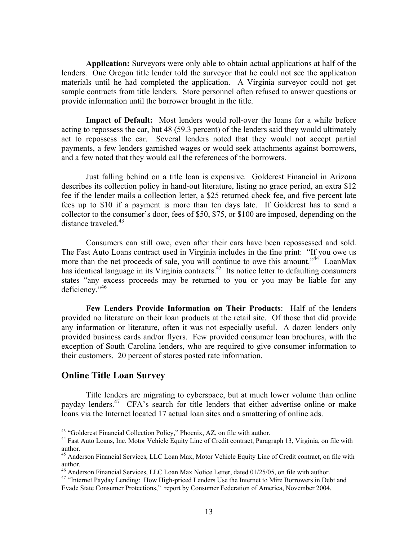**Application:** Surveyors were only able to obtain actual applications at half of the lenders. One Oregon title lender told the surveyor that he could not see the application materials until he had completed the application. A Virginia surveyor could not get sample contracts from title lenders. Store personnel often refused to answer questions or provide information until the borrower brought in the title.

**Impact of Default:** Most lenders would roll-over the loans for a while before acting to repossess the car, but 48 (59.3 percent) of the lenders said they would ultimately act to repossess the car. Several lenders noted that they would not accept partial payments, a few lenders garnished wages or would seek attachments against borrowers, and a few noted that they would call the references of the borrowers.

Just falling behind on a title loan is expensive. Goldcrest Financial in Arizona describes its collection policy in hand-out literature, listing no grace period, an extra \$12 fee if the lender mails a collection letter, a \$25 returned check fee, and five percent late fees up to \$10 if a payment is more than ten days late. If Goldcrest has to send a collector to the consumer's door, fees of \$50, \$75, or \$100 are imposed, depending on the distance traveled  $^{43}$ 

Consumers can still owe, even after their cars have been repossessed and sold. The Fast Auto Loans contract used in Virginia includes in the fine print: "If you owe us more than the net proceeds of sale, you will continue to owe this amount."<sup>44</sup> LoanMax has identical language in its Virginia contracts.<sup>45</sup> Its notice letter to defaulting consumers states "any excess proceeds may be returned to you or you may be liable for any deficiency."46

**Few Lenders Provide Information on Their Products**: Half of the lenders provided no literature on their loan products at the retail site. Of those that did provide any information or literature, often it was not especially useful. A dozen lenders only provided business cards and/or flyers. Few provided consumer loan brochures, with the exception of South Carolina lenders, who are required to give consumer information to their customers. 20 percent of stores posted rate information.

### **Online Title Loan Survey**

 $\overline{a}$ 

Title lenders are migrating to cyberspace, but at much lower volume than online payday lenders.47 CFA's search for title lenders that either advertise online or make loans via the Internet located 17 actual loan sites and a smattering of online ads.

<sup>&</sup>lt;sup>43</sup> "Goldcrest Financial Collection Policy," Phoenix, AZ, on file with author.

<sup>&</sup>lt;sup>44</sup> Fast Auto Loans, Inc. Motor Vehicle Equity Line of Credit contract, Paragraph 13, Virginia, on file with author.

<sup>45</sup> Anderson Financial Services, LLC Loan Max, Motor Vehicle Equity Line of Credit contract, on file with author.

<sup>&</sup>lt;sup>46</sup> Anderson Financial Services, LLC Loan Max Notice Letter, dated 01/25/05, on file with author.

<sup>&</sup>lt;sup>47</sup> "Internet Payday Lending: How High-priced Lenders Use the Internet to Mire Borrowers in Debt and Evade State Consumer Protections," report by Consumer Federation of America, November 2004.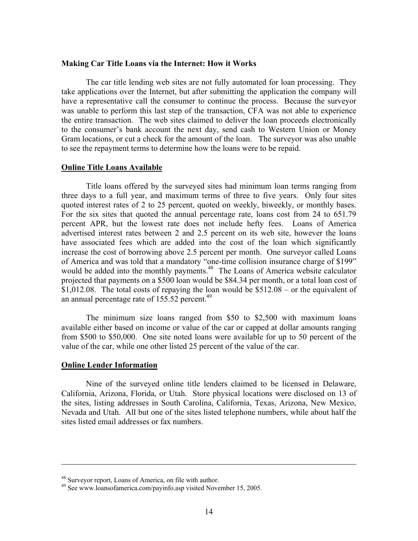#### **Making Car Title Loans via the Internet: How it Works**

 The car title lending web sites are not fully automated for loan processing. They take applications over the Internet, but after submitting the application the company will have a representative call the consumer to continue the process. Because the surveyor was unable to perform this last step of the transaction, CFA was not able to experience the entire transaction. The web sites claimed to deliver the loan proceeds electronically to the consumer's bank account the next day, send cash to Western Union or Money Gram locations, or cut a check for the amount of the loan. The surveyor was also unable to see the repayment terms to determine how the loans were to be repaid.

#### **Online Title Loans Available**

 Title loans offered by the surveyed sites had minimum loan terms ranging from three days to a full year, and maximum terms of three to five years. Only four sites quoted interest rates of 2 to 25 percent, quoted on weekly, biweekly, or monthly bases. For the six sites that quoted the annual percentage rate, loans cost from 24 to 651.79 percent APR, but the lowest rate does not include hefty fees. Loans of America advertised interest rates between 2 and 2.5 percent on its web site, however the loans have associated fees which are added into the cost of the loan which significantly increase the cost of borrowing above 2.5 percent per month. One surveyor called Loans of America and was told that a mandatory "one-time collision insurance charge of \$199" would be added into the monthly payments.<sup>48</sup> The Loans of America website calculator projected that payments on a \$500 loan would be \$84.34 per month, or a total loan cost of \$1,012.08. The total costs of repaying the loan would be  $$512.08 - or$  the equivalent of an annual percentage rate of 155.52 percent.<sup>49</sup>

The minimum size loans ranged from \$50 to \$2,500 with maximum loans available either based on income or value of the car or capped at dollar amounts ranging from \$500 to \$50,000. One site noted loans were available for up to 50 percent of the value of the car, while one other listed 25 percent of the value of the car.

#### **Online Lender Information**

1

 Nine of the surveyed online title lenders claimed to be licensed in Delaware, California, Arizona, Florida, or Utah. Store physical locations were disclosed on 13 of the sites, listing addresses in South Carolina, California, Texas, Arizona, New Mexico, Nevada and Utah. All but one of the sites listed telephone numbers, while about half the sites listed email addresses or fax numbers.

<sup>&</sup>lt;sup>48</sup> Surveyor report, Loans of America, on file with author.<br><sup>49</sup> See www.loansofamerica.com/payinfo.asp visited November 15, 2005.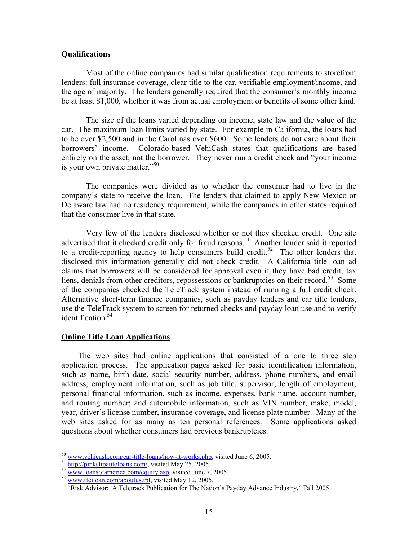#### **Qualifications**

 Most of the online companies had similar qualification requirements to storefront lenders: full insurance coverage, clear title to the car, verifiable employment/income, and the age of majority. The lenders generally required that the consumer's monthly income be at least \$1,000, whether it was from actual employment or benefits of some other kind.

The size of the loans varied depending on income, state law and the value of the car. The maximum loan limits varied by state. For example in California, the loans had to be over \$2,500 and in the Carolinas over \$600. Some lenders do not care about their borrowers' income. Colorado-based VehiCash states that qualifications are based entirely on the asset, not the borrower. They never run a credit check and "your income is your own private matter."<sup>50</sup>

The companies were divided as to whether the consumer had to live in the company's state to receive the loan. The lenders that claimed to apply New Mexico or Delaware law had no residency requirement, while the companies in other states required that the consumer live in that state.

 Very few of the lenders disclosed whether or not they checked credit. One site advertised that it checked credit only for fraud reasons.<sup>51</sup> Another lender said it reported to a credit-reporting agency to help consumers build credit.<sup>52</sup> The other lenders that disclosed this information generally did not check credit. A California title loan ad claims that borrowers will be considered for approval even if they have bad credit, tax liens, denials from other creditors, repossessions or bankruptcies on their record.<sup>53</sup> Some of the companies checked the TeleTrack system instead of running a full credit check. Alternative short-term finance companies, such as payday lenders and car title lenders, use the TeleTrack system to screen for returned checks and payday loan use and to verify identification<sup>54</sup>

#### **Online Title Loan Applications**

The web sites had online applications that consisted of a one to three step application process. The application pages asked for basic identification information, such as name, birth date, social security number, address, phone numbers, and email address; employment information, such as job title, supervisor, length of employment; personal financial information, such as income, expenses, bank name, account number, and routing number; and automobile information, such as VIN number, make, model, year, driver's license number, insurance coverage, and license plate number. Many of the web sites asked for as many as ten personal references. Some applications asked questions about whether consumers had previous bankruptcies.

<sup>&</sup>lt;sup>50</sup> www.vehicash.com/car-title-loans/how-it-works.php, visited June 6, 2005.

<sup>&</sup>lt;sup>51</sup> http://pinkslipautoloans.com/, visited May 25, 2005.<br>
<sup>52</sup> www.loansofamerica.com/equity.asp, visited June 7, 2005.<br>
<sup>53</sup> www.tfciloan.com/aboutus.tpl, visited May 12, 2005.<br>
<sup>54</sup> "Risk Advisor: A Teletrack Publicati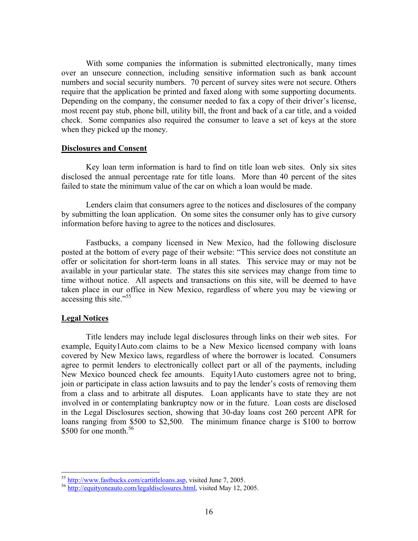With some companies the information is submitted electronically, many times over an unsecure connection, including sensitive information such as bank account numbers and social security numbers. 70 percent of survey sites were not secure. Others require that the application be printed and faxed along with some supporting documents. Depending on the company, the consumer needed to fax a copy of their driver's license, most recent pay stub, phone bill, utility bill, the front and back of a car title, and a voided check. Some companies also required the consumer to leave a set of keys at the store when they picked up the money.

#### **Disclosures and Consent**

Key loan term information is hard to find on title loan web sites. Only six sites disclosed the annual percentage rate for title loans. More than 40 percent of the sites failed to state the minimum value of the car on which a loan would be made.

Lenders claim that consumers agree to the notices and disclosures of the company by submitting the loan application. On some sites the consumer only has to give cursory information before having to agree to the notices and disclosures.

 Fastbucks, a company licensed in New Mexico, had the following disclosure posted at the bottom of every page of their website: "This service does not constitute an offer or solicitation for short-term loans in all states. This service may or may not be available in your particular state. The states this site services may change from time to time without notice. All aspects and transactions on this site, will be deemed to have taken place in our office in New Mexico, regardless of where you may be viewing or accessing this site."<sup>55</sup>

#### **Legal Notices**

 $\overline{a}$ 

 Title lenders may include legal disclosures through links on their web sites. For example, Equity1Auto.com claims to be a New Mexico licensed company with loans covered by New Mexico laws, regardless of where the borrower is located. Consumers agree to permit lenders to electronically collect part or all of the payments, including New Mexico bounced check fee amounts. Equity1Auto customers agree not to bring, join or participate in class action lawsuits and to pay the lender's costs of removing them from a class and to arbitrate all disputes. Loan applicants have to state they are not involved in or contemplating bankruptcy now or in the future. Loan costs are disclosed in the Legal Disclosures section, showing that 30-day loans cost 260 percent APR for loans ranging from \$500 to \$2,500. The minimum finance charge is \$100 to borrow \$500 for one month.<sup>56</sup>

<sup>&</sup>lt;sup>55</sup> http://www.fastbucks.com/cartitleloans.asp, visited June 7, 2005.<br><sup>56</sup> http://equityoneauto.com/legaldisclosures.html, visited May 12, 2005.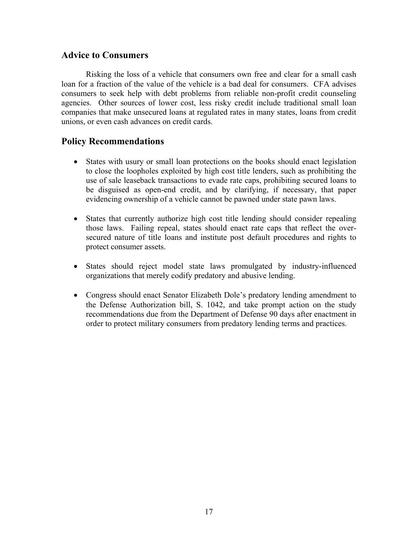### **Advice to Consumers**

 Risking the loss of a vehicle that consumers own free and clear for a small cash loan for a fraction of the value of the vehicle is a bad deal for consumers. CFA advises consumers to seek help with debt problems from reliable non-profit credit counseling agencies. Other sources of lower cost, less risky credit include traditional small loan companies that make unsecured loans at regulated rates in many states, loans from credit unions, or even cash advances on credit cards.

### **Policy Recommendations**

- States with usury or small loan protections on the books should enact legislation to close the loopholes exploited by high cost title lenders, such as prohibiting the use of sale leaseback transactions to evade rate caps, prohibiting secured loans to be disguised as open-end credit, and by clarifying, if necessary, that paper evidencing ownership of a vehicle cannot be pawned under state pawn laws.
- States that currently authorize high cost title lending should consider repealing those laws. Failing repeal, states should enact rate caps that reflect the oversecured nature of title loans and institute post default procedures and rights to protect consumer assets.
- States should reject model state laws promulgated by industry-influenced organizations that merely codify predatory and abusive lending.
- Congress should enact Senator Elizabeth Dole's predatory lending amendment to the Defense Authorization bill, S. 1042, and take prompt action on the study recommendations due from the Department of Defense 90 days after enactment in order to protect military consumers from predatory lending terms and practices.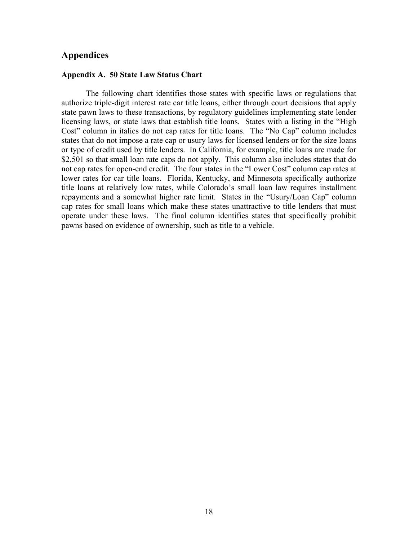### **Appendices**

#### **Appendix A. 50 State Law Status Chart**

The following chart identifies those states with specific laws or regulations that authorize triple-digit interest rate car title loans, either through court decisions that apply state pawn laws to these transactions, by regulatory guidelines implementing state lender licensing laws, or state laws that establish title loans. States with a listing in the "High Cost" column in italics do not cap rates for title loans. The "No Cap" column includes states that do not impose a rate cap or usury laws for licensed lenders or for the size loans or type of credit used by title lenders. In California, for example, title loans are made for \$2,501 so that small loan rate caps do not apply. This column also includes states that do not cap rates for open-end credit. The four states in the "Lower Cost" column cap rates at lower rates for car title loans. Florida, Kentucky, and Minnesota specifically authorize title loans at relatively low rates, while Colorado's small loan law requires installment repayments and a somewhat higher rate limit. States in the "Usury/Loan Cap" column cap rates for small loans which make these states unattractive to title lenders that must operate under these laws. The final column identifies states that specifically prohibit pawns based on evidence of ownership, such as title to a vehicle.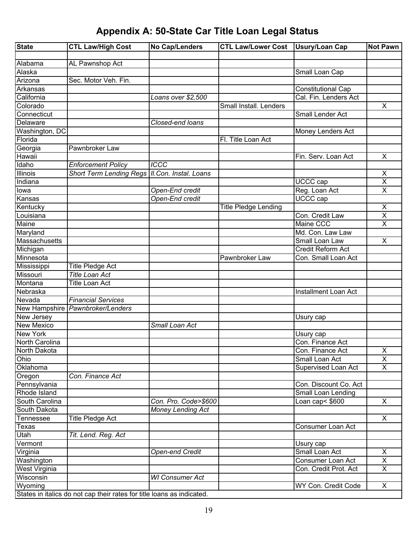# **Appendix A: 50-State Car Title Loan Legal Status**

| <b>State</b>      | <b>CTL Law/High Cost</b>                                               | No Cap/Lenders           | <b>CTL Law/Lower Cost</b>   | Usury/Loan Cap          | <b>Not Pawn</b>         |
|-------------------|------------------------------------------------------------------------|--------------------------|-----------------------------|-------------------------|-------------------------|
|                   |                                                                        |                          |                             |                         |                         |
| Alabama           | AL Pawnshop Act                                                        |                          |                             |                         |                         |
| Alaska            |                                                                        |                          |                             | Small Loan Cap          |                         |
| Arizona           | Sec. Motor Veh. Fin.                                                   |                          |                             |                         |                         |
| Arkansas          |                                                                        |                          |                             | Constitutional Cap      |                         |
| California        |                                                                        | Loans over \$2,500       |                             | Cal. Fin. Lenders Act   |                         |
| Colorado          |                                                                        |                          | Small Install. Lenders      |                         | X                       |
| Connecticut       |                                                                        |                          |                             | <b>Small Lender Act</b> |                         |
| Delaware          |                                                                        | Closed-end loans         |                             |                         |                         |
| Washington, DC    |                                                                        |                          |                             | Money Lenders Act       |                         |
| Florida           |                                                                        |                          | Fl. Title Loan Act          |                         |                         |
| Georgia           | Pawnbroker Law                                                         |                          |                             |                         |                         |
| Hawaii            |                                                                        |                          |                             | Fin. Serv. Loan Act     | X                       |
| Idaho             | <b>Enforcement Policy</b>                                              | <b>ICCC</b>              |                             |                         |                         |
| <b>Illinois</b>   | Short Term Lending Regs   II. Con. Instal. Loans                       |                          |                             |                         | X                       |
| Indiana           |                                                                        |                          |                             | UCCC cap                | X                       |
| lowa              |                                                                        | Open-End credit          |                             | Reg. Loan Act           | $\overline{\mathsf{x}}$ |
| Kansas            |                                                                        | Open-End credit          |                             | UCCC cap                |                         |
| Kentucky          |                                                                        |                          | <b>Title Pledge Lending</b> |                         | X                       |
| Louisiana         |                                                                        |                          |                             | Con. Credit Law         | Χ                       |
| Maine             |                                                                        |                          |                             | <b>Maine CCC</b>        | $\overline{\mathsf{x}}$ |
| Maryland          |                                                                        |                          |                             | Md. Con. Law Law        |                         |
| Massachusetts     |                                                                        |                          |                             | Small Loan Law          | X                       |
| Michigan          |                                                                        |                          |                             | Credit Reform Act       |                         |
| Minnesota         |                                                                        |                          | Pawnbroker Law              | Con. Small Loan Act     |                         |
| Mississippi       | <b>Title Pledge Act</b>                                                |                          |                             |                         |                         |
| Missouri          | <b>Title Loan Act</b>                                                  |                          |                             |                         |                         |
| Montana           | <b>Title Loan Act</b>                                                  |                          |                             |                         |                         |
| Nebraska          |                                                                        |                          |                             | Installment Loan Act    |                         |
| Nevada            | <b>Financial Services</b>                                              |                          |                             |                         |                         |
|                   | New Hampshire Pawnbroker/Lenders                                       |                          |                             |                         |                         |
| New Jersey        |                                                                        |                          |                             | Usury cap               |                         |
| <b>New Mexico</b> |                                                                        | Small Loan Act           |                             |                         |                         |
| <b>New York</b>   |                                                                        |                          |                             | Usury cap               |                         |
| North Carolina    |                                                                        |                          |                             | Con. Finance Act        |                         |
| North Dakota      |                                                                        |                          |                             | Con. Finance Act        | X                       |
| Ohio              |                                                                        |                          |                             | Small Loan Act          | X                       |
| Oklahoma          |                                                                        |                          |                             | Supervised Loan Act     | $\overline{X}$          |
| Oregon            | Con. Finance Act                                                       |                          |                             |                         |                         |
| Pennsylvania      |                                                                        |                          |                             | Con. Discount Co. Act   |                         |
| Rhode Island      |                                                                        |                          |                             | Small Loan Lending      |                         |
| South Carolina    |                                                                        | Con. Pro. Code>\$600     |                             | Loan cap< \$600         | $\sf X$                 |
| South Dakota      |                                                                        | <b>Money Lending Act</b> |                             |                         |                         |
| Tennessee         | <b>Title Pledge Act</b>                                                |                          |                             |                         | X                       |
| Texas             |                                                                        |                          |                             | Consumer Loan Act       |                         |
| Utah              | Tit. Lend. Reg. Act                                                    |                          |                             |                         |                         |
| Vermont           |                                                                        |                          |                             | Usury cap               |                         |
| Virginia          |                                                                        | <b>Open-end Credit</b>   |                             | Small Loan Act          | X                       |
| Washington        |                                                                        |                          |                             | Consumer Loan Act       | X                       |
| West Virginia     |                                                                        |                          |                             | Con. Credit Prot. Act   | $\overline{X}$          |
| Wisconsin         |                                                                        | <b>WI Consumer Act</b>   |                             |                         |                         |
| Wyoming           |                                                                        |                          |                             | WY Con. Credit Code     | X                       |
|                   | States in italics do not cap their rates for title loans as indicated. |                          |                             |                         |                         |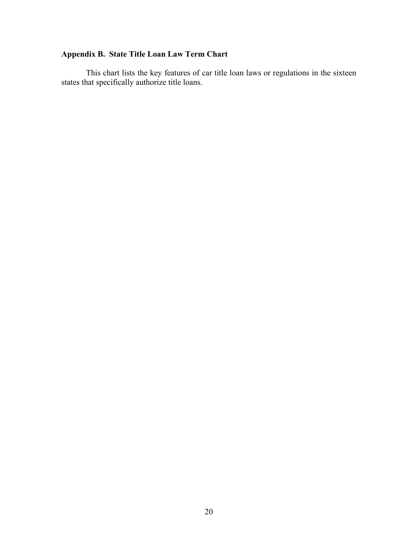# **Appendix B. State Title Loan Law Term Chart**

 This chart lists the key features of car title loan laws or regulations in the sixteen states that specifically authorize title loans.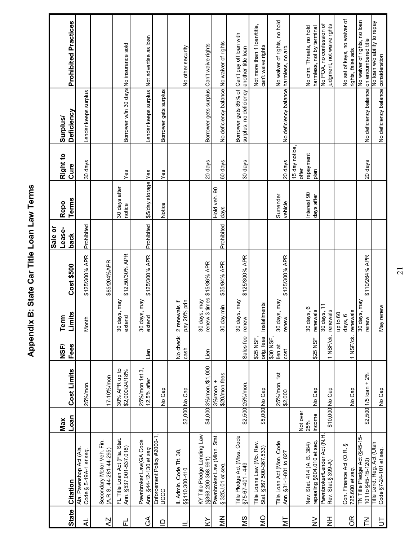| <b>Erm</b>                      |
|---------------------------------|
| M<br>P⊓                         |
| ns<br>C<br>j<br>X               |
| $\frac{d}{dt}$<br>$\frac{2}{1}$ |
| ā                               |
| <b>State</b>                    |
|                                 |
| · sinnon ·                      |
|                                 |

|                           |                                                         |                           |                                 |                              |                                            |                      | Sale or    |                           |                                              |                                                                                           |                                                        |
|---------------------------|---------------------------------------------------------|---------------------------|---------------------------------|------------------------------|--------------------------------------------|----------------------|------------|---------------------------|----------------------------------------------|-------------------------------------------------------------------------------------------|--------------------------------------------------------|
|                           |                                                         | Max                       |                                 | NSF/                         | Term                                       |                      | Lease-     | Repo                      | <b>Right to</b>                              | Surplus                                                                                   |                                                        |
| State                     | Citation                                                | Loan                      | Cost Limits                     | Fees                         | 'n,<br>Limit                               | Cost \$500           | back       | <b>Terms</b>              | Cure                                         | Deficiency                                                                                | <b>Prohibited Practices</b>                            |
| ₹                         | Ala. Pawnshop Act (Ala.<br>Code § 5-19A-1 et seq.       |                           | 25%/mon.                        |                              | Month                                      | \$125/300% APR       | Prohibited |                           | 30 days                                      | Lender keeps surplus                                                                      |                                                        |
| <b>Z</b>                  | Secondary Motor Veh. Fin.<br>(A.R.S. 44-281-44-295)     |                           | 17-10%/mon                      |                              |                                            | \$85/204%APR         |            |                           |                                              |                                                                                           |                                                        |
| 군                         | FL Title Loan Act (Fla. Stat.<br>Ann. §537.001-537.018) |                           | 30% APR up to<br>\$2,000/24/18% |                              | s, may<br>30 day<br>extend                 | \$12.50/30% APR      |            | 30 days after<br>notice   | Yes                                          | Borrower w/in 30 days No insurance sold                                                   |                                                        |
| E                         | Pawnbroker Law(GA Code<br>Ann. §44-12-130 et seq        |                           | 25%/mon 1st 3,<br>12.5% after   | Lien                         | /s, may<br>30 day<br>extend                | \$125/300% APR       | Prohibited | \$5/day storage Yes       |                                              | Lender keeps surplus                                                                      | Not advertise as loan                                  |
| $\supseteq$               | Enforcement Policy #2000-1,<br>UCCC                     |                           | No Cap                          |                              |                                            |                      |            | Notice                    | Yes                                          | Borrower gets surplus                                                                     |                                                        |
| $\equiv$                  | IL Admin. Code Tit. 38,<br>\$§110.300-410               |                           | \$2,000 No Cap                  | No check<br>cash             | pay 20% prin.<br>2 renewals if             |                      |            |                           |                                              |                                                                                           | No other security                                      |
| ≿                         | KY Title Pledge Lending Law<br>$(S368.200 - 368.991)$   |                           | \$4,000 3%/mon./\$1,000         | Lien                         | /s, may<br>30 day<br>renew?                | 3 times \$15/36% APR |            |                           | 20 days                                      | Borrower gets surplus Can't waive rights                                                  |                                                        |
| $\mathsf{K}^{\mathsf{Z}}$ | Pawnbroker Law (Minn. Stat.<br>§ 325J.01 et seq.        |                           | \$20/mon fees<br>3%/mon.        |                              | 30 day min.                                | \$35/84% APR         | Prohibited | Hold veh. 90<br>days      | 60 days                                      | No deficiency balance No waiver of rights                                                 |                                                        |
| SM                        | Title Pledge Act (Miss. Code<br>§75-67-401 - 449        |                           | \$2,500 25%/mon.                | Sales fee                    | s, may<br>30 day:<br>renew                 | \$125/300% APR       |            |                           | 30 days                                      | Borrower gets 85% of Can't pay off loan with<br>surplus, no deficiency another title loan |                                                        |
| S                         | Title Loans Law (Mo. Rev.<br>Stat. §367.500-367.533)    |                           | \$5,000 No Cap                  | \$25 NSF,<br>orig. fees      | Installments                               |                      |            |                           |                                              |                                                                                           | Not more than 1 loan/title,<br>can't waive rights      |
| 능                         | Title Loan Act (Mon. Code<br>Ann. §31-1-801 to 827      |                           | 25%/mon. 1st<br>\$2,000         | \$30 NSF,<br>lien at<br>cost | 's, may<br>30 day<br>renew                 | \$125/300% APR       |            | Surrender<br>vehicle      | 20 days                                      | No deficiency balance harmless, no arb.                                                   | No waiver of rights, no hold                           |
| $\geqq$                   | repealing §604.010 et seq.<br>Nev Stat 414 (A. B. 384)  | Not over<br>income<br>25% | No Cap                          | \$25 NSF                     | $30$ days, $6$<br>renewals                 |                      |            | Interest 90<br>days after | 15 day notice,<br>repayment<br>offer<br>plan |                                                                                           | No crim. Threats, no hold<br>harmless, not by terminal |
| $\frac{1}{2}$             | Pawnbroker/Lender Act (N.H<br>Rev. Stat.§ 399-A)        | \$10,000 No Cap           |                                 | 1 NSF/ck.                    | 30 days, 11<br>renewals                    |                      |            |                           |                                              |                                                                                           | No POA, no confession of<br>judgment, not waive rghts  |
| 8R                        | S<br>Con. Finance Act (O.R.<br>725.600 et seq.          |                           | No Cap                          | 1 NSF/ck.                    | renewals<br>Up to 60<br>$\circ$<br>days, 6 |                      |            |                           |                                              |                                                                                           | No set of keys, no waiver of<br>rights, false ads      |
| 즌                         | TN Title Pledge Act (§45-15-<br>101 to §45-15-120)      |                           | \$2,500 1/5 loan + 2%           |                              | 30 days, may<br>renew                      | \$110/264% APR       |            |                           | 20 days                                      | No deficiency balance on encumbered title                                                 | No waiver of rights, no loan                           |
| 5                         | Title Lend. Reg. Act (Utah<br>Code §7-24-101 et seq.    |                           | No Cap                          |                              | May renew                                  |                      |            |                           |                                              | No deficiency balance consideration                                                       | No loan w/o ability to repay                           |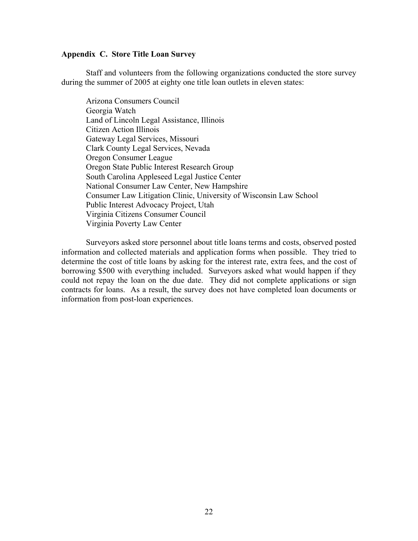#### **Appendix C. Store Title Loan Survey**

 Staff and volunteers from the following organizations conducted the store survey during the summer of 2005 at eighty one title loan outlets in eleven states:

 Arizona Consumers Council Georgia Watch Land of Lincoln Legal Assistance, Illinois Citizen Action Illinois Gateway Legal Services, Missouri Clark County Legal Services, Nevada Oregon Consumer League Oregon State Public Interest Research Group South Carolina Appleseed Legal Justice Center National Consumer Law Center, New Hampshire Consumer Law Litigation Clinic, University of Wisconsin Law School Public Interest Advocacy Project, Utah Virginia Citizens Consumer Council Virginia Poverty Law Center

Surveyors asked store personnel about title loans terms and costs, observed posted information and collected materials and application forms when possible. They tried to determine the cost of title loans by asking for the interest rate, extra fees, and the cost of borrowing \$500 with everything included. Surveyors asked what would happen if they could not repay the loan on the due date. They did not complete applications or sign contracts for loans. As a result, the survey does not have completed loan documents or information from post-loan experiences.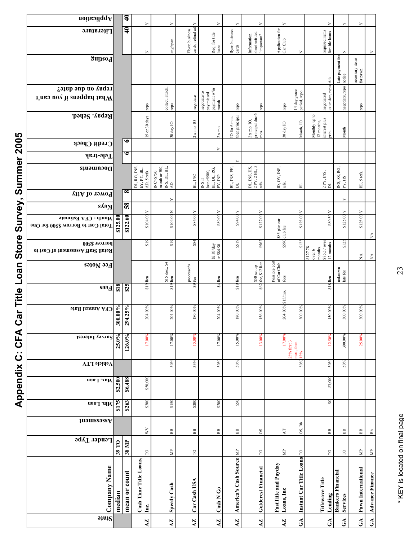| Application                                                |          | ទ                       | Y                                                | Υ                                                      | Y                                    | $\blacktriangleright$                                                                 | $\blacktriangleright$                   | $\blacktriangleright$                                                              | $\blacktriangleright$                                           |                                     | ≻                                                                  | ≻                                                            | ≻                                                    |                                                   |
|------------------------------------------------------------|----------|-------------------------|--------------------------------------------------|--------------------------------------------------------|--------------------------------------|---------------------------------------------------------------------------------------|-----------------------------------------|------------------------------------------------------------------------------------|-----------------------------------------------------------------|-------------------------------------|--------------------------------------------------------------------|--------------------------------------------------------------|------------------------------------------------------|---------------------------------------------------|
| Literature                                                 |          | $\overline{\mathbf{a}}$ | z                                                | eng/span                                               | cards, referal ad<br>Flyer, business | Req. for title<br>loans                                                               | flyer, business<br>cards                | sheet entitled<br>"important"<br>Information                                       | Application for<br>Car Club                                     | $\mathbb Z$                         | required items<br>for title loans.                                 | $\mathbb Z$                                                  |                                                      | $\mathbb Z$                                       |
| Posting                                                    |          |                         |                                                  |                                                        |                                      |                                                                                       |                                         |                                                                                    |                                                                 |                                     |                                                                    | Late payment fee<br>notice                                   | necessary items<br>for pawn                          |                                                   |
| repay on due date?<br>T'ans uov di ensequed tedW           |          |                         | repo                                             | collect, attach,<br>repo                               | negotiate                            | $% \left\vert \phi _{0}\right\rangle _{0}$ payment w/in<br>negotiate to<br>pay missed | repo                                    | repo                                                                               | repo                                                            | 14 day grace<br>period, repo        | extension, repo Ads<br>negotiated                                  | negotiate, repo                                              | repo                                                 |                                                   |
| Repay. Sched.                                              |          |                         | 15 or 30 days                                    | 30 day IO                                              | $2 \times$ mo. IO                    | $2 \times m$ o.                                                                       | IO for 6 mos.<br>then principal         | $2 \times$ mo. IO,<br>principal due $6$<br>mos.                                    | 30 day IO                                                       | Month, IO                           | Monthly up to<br>interest plus<br>12 months,<br>prin.              | Month                                                        |                                                      |                                                   |
| Credit Check                                               |          | 6                       |                                                  |                                                        |                                      | $\blacktriangleright$                                                                 |                                         |                                                                                    |                                                                 |                                     |                                                                    |                                                              |                                                      |                                                   |
| Fele-trak                                                  |          | $\bullet$               |                                                  |                                                        |                                      |                                                                                       | $\blacktriangleright$                   |                                                                                    |                                                                 |                                     |                                                                    |                                                              |                                                      |                                                   |
| Documents                                                  |          |                         | DL, RG, INS,<br>EY, PY, BL,<br>AD, 5 refs.       | month or BK,<br>INS, DL, BL,<br>AD<br><b>INC-\$750</b> | BL, INC                              | BL, DL, RG,<br>EY, INP<br>$\text{loan}\geq 500$ ,<br>$NSS$ if                         | BL, INS, PH,<br>DL                      | $\begin{array}{c} \text{DL, MS, HS,} \\ \text{2 PY. 2 BL, 5} \end{array}$<br>refs. | $\mathbb{D}, \mathbb{O}\mathbf{Y}, \mathbb{N}\mathbb{P},$ refs. | 피                                   | 2 PY, INS.<br>ă                                                    | INS, SS, RG,<br>PY, HS                                       | BL, 5 refs.                                          |                                                   |
| <b>Ромет оf Atty</b>                                       |          | 8                       |                                                  | Υ                                                      |                                      |                                                                                       |                                         |                                                                                    |                                                                 |                                     |                                                                    | ≻                                                            |                                                      |                                                   |
| sлэу                                                       |          | 58                      |                                                  | Z                                                      |                                      | Y                                                                                     |                                         |                                                                                    |                                                                 |                                     | ≻                                                                  | Y                                                            |                                                      |                                                   |
| Month - CFA Estimate<br>Total Cost to Borrow \$500 for One | \$125.00 | \$122.60                | \$104.00 <sup>Y</sup>                            | \$104.00                                               | \$84.00 Y                            | \$89.00                                                                               | \$94.00 Y                               | \$127.00Y                                                                          | \$85 plus car<br>\$590 club fee                                 | \$125.00Y                           | \$80.50                                                            | \$125.00                                                     | \$125.00Y                                            | $\tilde{\mathbf{z}}$                              |
| 00SS worrod<br>Retail Staff Assessment of Cost to          |          |                         | \$19                                             | \$19                                                   | \$84                                 | \$2.83/day<br>or \$84.90                                                              | \$519                                   | \$562                                                                              |                                                                 | \$125                               | \$85.57 over<br>$12$ months $\,$<br>8127.78<br>over $6$<br>months, | \$125                                                        | $\stackrel{\blacktriangle}{\approx}$                 | $\stackrel{\triangle}{\simeq}$                    |
| <b>Fee Notes</b>                                           |          |                         | \$19 lien                                        | \$15 doc., \$4<br>\$19 lien                            | processor's<br>\$9 fee               | \$4 lien                                                                              | \$19 lien                               | \$50 set up<br>: fee, \$12 lien                                                    | Possible cost<br>of Car Club<br>fees                            |                                     | \$18 lien                                                          | unknown<br>late fee                                          |                                                      |                                                   |
| Pees                                                       | \$18     | \$25                    |                                                  |                                                        |                                      |                                                                                       |                                         | \$62                                                                               |                                                                 |                                     |                                                                    |                                                              |                                                      |                                                   |
| <b>CFA Annual Rate</b>                                     | 300.00%  | 294.25%                 | 204.00%                                          | 204.00%                                                | 180.00%                              | 204.00%                                                                               | 180.00%                                 | 156.00%                                                                            | 204.00% \$15/mo.                                                | 300.00%                             | 150.00%                                                            | 300.00%                                                      | 300.00%                                              |                                                   |
| Survey Interest                                            | 25.0%    | 126.0%                  | 17.00%                                           | 17.00%                                                 | 15.00%                               | 17.00%                                                                                | 15.00%                                  | 13.00%                                                                             | 17.00%                                                          | 25% first 3<br>mos., then<br>$12\%$ | 12.50%                                                             | 300.00%                                                      | <b>25.00%</b>                                        |                                                   |
| $\Lambda$ ГТ әріңә $\Lambda$                               |          |                         |                                                  | 50%                                                    | 33%                                  | 50%                                                                                   | 50%                                     |                                                                                    |                                                                 | 50%                                 | 50%                                                                | 50%                                                          |                                                      |                                                   |
| мах. Loan                                                  | \$2,500  | \$6,488                 | \$50,000                                         |                                                        |                                      |                                                                                       |                                         |                                                                                    |                                                                 |                                     | \$3,000                                                            |                                                              |                                                      |                                                   |
| Min. Loan                                                  | \$175    | \$263                   | \$300                                            | \$150                                                  | \$200                                | \$200                                                                                 | \$50                                    |                                                                                    |                                                                 |                                     | $\boldsymbol{\mathsf{s}}$                                          |                                                              |                                                      |                                                   |
| <i>quaussassv</i>                                          |          |                         | $\geq$                                           | $_{\rm BB}$                                            | $_{\rm BB}$                          | $_{\rm BB}$                                                                           | $_{\rm BB}$                             | $_{\rm 80}$                                                                        | $\lambda$ T                                                     | OS, Bb                              | $_{\rm BB}$                                                        | $_{\rm BB}$                                                  | $_{\rm BB}$                                          | $\frac{ab}{2}$                                    |
| Lender Type                                                | 39 TO    | 38 MP                   |                                                  |                                                        |                                      |                                                                                       |                                         |                                                                                    |                                                                 |                                     |                                                                    |                                                              |                                                      |                                                   |
| Company Name                                               | median   | mean or count           | $\overline{C}$<br>Cash Time Title Loans,<br>Inc. | $\mathrel{\mathop{\boxplus}}$<br>Speedy Cash           | $\mathsf{C}$<br>Car Cash USA         | Cash N Go                                                                             | $\mathbb{\Xi}$<br>America's Cash Source | $\boldsymbol{\mathsf{c}}$<br><b>Goldcrest Financial</b>                            | È<br>FastTitle and Payday<br>Loans, Inc                         | Instant Car Title Loans TO          | S<br>Titlewave Title<br>Lending                                    | $\boldsymbol{\beta}$<br><b>Bankers Financial</b><br>Services | $\mathrel{\mathop{\boxtimes}}$<br>Pawn International | $\mathbb{\overline{B}}$<br><b>Advance Finance</b> |
| əisig                                                      |          |                         | $\overline{A}$                                   | $\lambda$ Z                                            | $\Delta Z$                           | $\overline{A}$                                                                        | $\overline{\mathbf{Z}}$                 | $\overline{\mathbf{X}}$                                                            | $\Delta Z$                                                      | $\mathbb{G}^{\mathbb{A}}$           | $G\Lambda$                                                         | $\mathfrak{S}$                                               | $\mathfrak{S}$                                       | $G\Delta$                                         |

 $*$  KEY is located on final page \* KEY is located on final page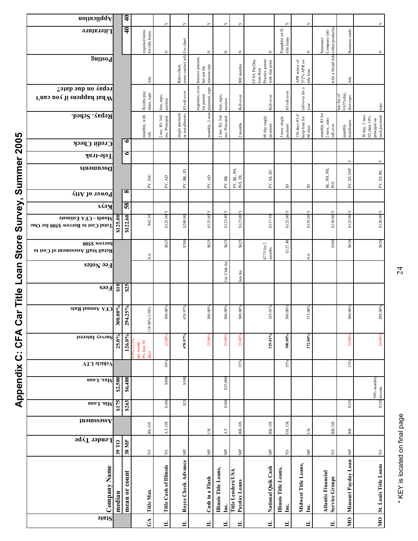| Application                                                                                                                                                                                                                           |          | $\triangleq$            |                                                   | $\blacktriangleright$          | ≻                                           | Σ                                               | $\blacktriangleright$                    | $\rightarrow$                     |                                                                | $\blacktriangleright$                                                      | $\blacktriangleright$                      |                                                         |                                        | $\blacktriangleright$                                                              |
|---------------------------------------------------------------------------------------------------------------------------------------------------------------------------------------------------------------------------------------|----------|-------------------------|---------------------------------------------------|--------------------------------|---------------------------------------------|-------------------------------------------------|------------------------------------------|-----------------------------------|----------------------------------------------------------------|----------------------------------------------------------------------------|--------------------------------------------|---------------------------------------------------------|----------------------------------------|------------------------------------------------------------------------------------|
| Literature                                                                                                                                                                                                                            |          | $\overline{\mathbf{a}}$ | required items<br>for title loans.                | $\mathsf{z}$                   |                                             | $\mathbb Z$                                     | $\mathsf{z}$                             | $\mathbb Z$                       | $\mathbb Z$                                                    | $\begin{array}{ll} \text{Pamphlet on IL}\\ \text{title loans} \end{array}$ | $\mathsf{z}$                               | Insurance                                               | Business cards                         | $\mathsf{z}$                                                                       |
| Posting                                                                                                                                                                                                                               |          |                         | $_{\rm Ads}$                                      |                                | some contact info Fee chart<br>Rates chart, | Interest amount<br>interest rate<br>but not the |                                          | 800 number                        | Practice poster<br>with fine print<br>CFSA PayDay<br>loan Best |                                                                            | APR notice of<br>372% APR on<br>title loan | Company info<br>refer a friend info<br>(other products) | Ads                                    |                                                                                    |
| repay on due date?<br>T'nn bappens it sought                                                                                                                                                                                          |          |                         | flexible pay<br>dates, repo                       | lien, repo,<br>auction         | IO roll-over                                | negotiate, even<br>payment, repo<br>for partial | lien, repo,<br>auction                   | Roll-over                         | Roll-over                                                      | IO roll-over                                                               | roll-over for a<br>year                    |                                                         | late fee of<br>0.83%/day,<br>then repo | repo                                                                               |
| Repay. Sched.                                                                                                                                                                                                                         |          |                         | monthly, with<br>refi.                            | 2 mo. IO, 3rd<br>mo. Principal | or installments<br>single payment           | monthly, 3 mos.                                 | $2 \text{ mo. IO, 3rd}$<br>mo. Principal | 2 months                          | 60 day single<br>payment                                       | 3 mos. single<br>payment                                                   | 130 days IO if<br>keep loan for<br>60 days | monthly IO for<br>$2$ mos., auto $\,$<br>roll over      | monthly<br>installment                 | principal on<br>each payment<br>$30 \text{ day}, 2 \text{ mos}$<br>IO, then $10\%$ |
| Credit Check                                                                                                                                                                                                                          |          | ত                       |                                                   |                                |                                             |                                                 |                                          |                                   |                                                                |                                                                            |                                            |                                                         |                                        |                                                                                    |
| <b>Mau-slaT</b>                                                                                                                                                                                                                       |          | ত                       |                                                   |                                |                                             |                                                 |                                          |                                   |                                                                |                                                                            |                                            |                                                         | ≻                                      | $\geq$                                                                             |
| $\mathbf{S}$                                                                                                                                                                                                                          |          |                         | PY, INC                                           | ${\rm PY, AD}$                 | PY, BK, ID                                  | PY, AD                                          | PY, BK                                   | ${\rm PV, BL, PH}, {\rm NS, DI}$  | PY, SS, ID                                                     | $\mathsf{a}$                                                               | $\mathsf{D}$                               | BL, PH, PH,<br>INS                                      | PY, ID, INP                            | PY, ID, BL                                                                         |
| үнд до тэмоч                                                                                                                                                                                                                          |          | 8                       |                                                   |                                |                                             |                                                 |                                          |                                   |                                                                |                                                                            |                                            |                                                         |                                        |                                                                                    |
| $s$ Аә $\chi$                                                                                                                                                                                                                         |          | 58                      |                                                   |                                |                                             |                                                 | ≻                                        | γ                                 |                                                                | γ                                                                          |                                            |                                                         |                                        |                                                                                    |
| Month - CFA Estimate<br>Total Cost to Borrow \$500 for One                                                                                                                                                                            | \$125.00 | \$122.60                | \$62.50                                           | \$125.00                       | \$200.00                                    | \$125.00Y                                       | \$125.00                                 | \$125.00                          | \$137.50                                                       | \$125.00                                                                   | \$155.00Y                                  | \$150.00Y                                               | \$125.00Y                              | \$120.00Y                                                                          |
| 00SS worrod<br>Retail Staff Assessment of Cost to                                                                                                                                                                                     |          |                         | Ž                                                 | \$625                          | \$700                                       | \$625                                           | \$625                                    | \$625                             | $$775$ for 2<br>months                                         | \$127.40                                                                   | $\stackrel{\triangle}{\geq}$               | \$300                                                   | \$639                                  | \$620                                                                              |
| <b>Fee Notes</b>                                                                                                                                                                                                                      |          |                         |                                                   |                                |                                             |                                                 | Car Club fee                             | lien fee                          |                                                                |                                                                            |                                            |                                                         |                                        |                                                                                    |
| <b>səə<sub>d</sub></b>                                                                                                                                                                                                                | \$18     | \$25                    |                                                   |                                |                                             |                                                 |                                          |                                   |                                                                |                                                                            |                                            |                                                         |                                        |                                                                                    |
| <b>CFA Annual Rate</b>                                                                                                                                                                                                                | 300.00%  | 294.25%                 | 118.80%-150%                                      | 300.00%                        | 470.97%                                     | 300.00%                                         | 300.00%                                  | 300.00%                           | 329.01%                                                        | 300.00%                                                                    | 372.00%                                    |                                                         | 300.00%                                | 288.00%                                                                            |
| Survey Interest                                                                                                                                                                                                                       | 25.0%    | 126.0%                  | $0%$ first 30<br>$% -12.5%$<br>per month-<br>days | 25.00%                         | 470.97%                                     | 25.00%                                          | 25.00%                                   | 25.00%                            | 329.01%                                                        | 300.00%                                                                    | 372.00%                                    |                                                         | 25.00%                                 | 24.00%                                                                             |
| $\Lambda$ Г<br>$\Gamma$ D-110 - 110 - 110 - 1110 - 1110 - 1110 - 1110 - 1110 - 1110 - 1110 - 1110 - 1110 - 1110 - 1110 - 1110 - 1110 - 1110 - 1110 - 1110 - 1110 - 1110 - 1110 - 1110 - 1110 - 1110 - 1110 - 1110 - 1110 - 1110 - 111 |          |                         |                                                   | 50%                            |                                             |                                                 |                                          | 55%                               |                                                                | 55%                                                                        |                                            |                                                         | 33%                                    |                                                                                    |
| мах. Loan                                                                                                                                                                                                                             | \$2,500  | \$6,488                 |                                                   | \$800                          | \$500                                       |                                                 | \$25,000                                 |                                   |                                                                |                                                                            |                                            |                                                         |                                        | $50\%$ monthly<br>\$150 income                                                     |
| Min. Loan                                                                                                                                                                                                                             | \$175    | \$263                   |                                                   | \$100                          | \$25                                        |                                                 | \$100                                    |                                   |                                                                |                                                                            |                                            |                                                         | \$150                                  |                                                                                    |
| <i>quaussassv</i>                                                                                                                                                                                                                     |          |                         | Bb, OS                                            | AT, OS                         |                                             | $\mathbb R$                                     | $\lambda\Gamma$                          | BB, OS                            | BB, OS                                                         | OS, UK                                                                     | ŪК                                         | BB, OS                                                  | $_{\rm BB}$                            |                                                                                    |
| Lender Type                                                                                                                                                                                                                           | 39 TO    | 38 MP                   | $\rm _{c}$                                        | $\boldsymbol{\Omega}$          | È                                           | $\mathrel{\mathop{\boxplus}}$                   | È                                        | È                                 | È                                                              | $\boldsymbol{\mathsf{e}}$                                                  | $\mathrel{\mathop{\boxplus}}$              | $\mathsf{S}$                                            | $\triangleq$                           | $\beta$                                                                            |
| <b>Company Name</b>                                                                                                                                                                                                                   | median   | mean or count           | Title Max                                         | Title Cash of Illinois         | Royce Check Advance                         | Cash in a Flash                                 | Illinois Title Loans,<br><u>ئە</u>       | Title Lenders/USA<br>Payday Loans | National Quik Cash                                             | Illinois Title Loans,<br>Inc.                                              | Midwest Title Loans,<br>Inc.               | <b>Atlantic Financial</b><br><b>Service Groups</b>      | Missouri Payday Loan                   | St. Louis Title Loans                                                              |
| <b>a</b> pple                                                                                                                                                                                                                         |          |                         | $\mathfrak{S}$                                    | $\blacksquare$                 | $\blacksquare$                              | $\blacksquare$                                  | $\blacksquare$                           | $\blacksquare$                    | $\blacksquare$                                                 | $\blacksquare$                                                             | ⊨                                          | $\blacksquare$                                          | $\overline{\mathbf{M}}$                | $\overline{\mathbf{R}}$                                                            |

Appendix C: CFA Car Title Loan Store Survey, Summer 2005 **Appendix C: CFA Car Title Loan Store Survey, Summer 2005**

\* KEY is located on final page \* KEY is located on final page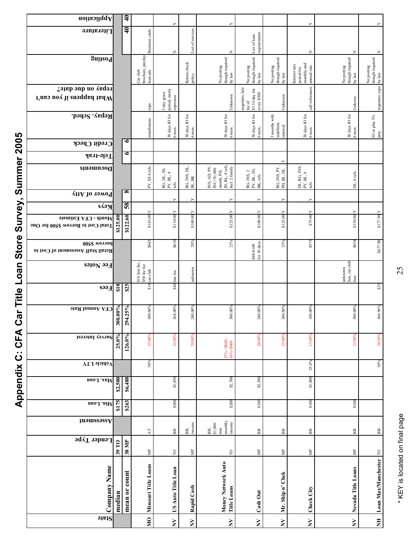| ייטי ב-10 לאיראוויט<br>2<br>.<br>J<br>J |
|-----------------------------------------|
| ט<br>2)<br>-                            |
|                                         |
| ・・・ こゅつ てしつ ・^                          |
| ind wild                                |
| <b>VIRSONS</b>                          |
|                                         |

| Application                                                |                | 40                      |                                                                  | Y                                          |                           | $\blacktriangleright$                                                        |                                                            |                                               | Y                                                          |                                         | $\blacktriangleright$                     |
|------------------------------------------------------------|----------------|-------------------------|------------------------------------------------------------------|--------------------------------------------|---------------------------|------------------------------------------------------------------------------|------------------------------------------------------------|-----------------------------------------------|------------------------------------------------------------|-----------------------------------------|-------------------------------------------|
| Literature                                                 |                | $\overline{\mathbf{a}}$ | Business cards                                                   | $\simeq$                                   | List of services          | $\mathsf{z}$                                                                 | requirements<br>List of loan                               |                                               | Z                                                          | $\mathsf{z}$                            | $\mathsf{z}$                              |
| Posting                                                    |                |                         | brochure, payday<br>Car club<br>$\ensuremath{\mathsf{loan}}$ ads |                                            | Return check<br>policy.   | though required<br>by law<br>No posting                                      | No posting<br>though required<br>by law                    | though required<br>No posting<br>by law       | monthly and<br>Interest rate<br>annual rate.<br>posted for | though required<br>by law<br>No posting | No posting                                |
| repay on due date?<br>T'nn y ll angled they                |                |                         | repo                                                             | 5 day grace<br>period, rarely<br>repossess |                           | Unknown                                                                      | negotiate, late<br>\$3.33/day for<br>every \$500<br>fee of | Unknown                                       | call references                                            | Unkown                                  | though required<br>negotiate, repo by law |
| Repay. Sched.                                              |                |                         | installments                                                     | 30 days IO for<br>6 mon.                   | $30$ days IO for $6$ mon. | 30 days IO for<br>6 mon.                                                     | $30 \text{ days}$ IO for $6 \text{ mm}$ .                  | 3 months with<br>indefinite<br>renewal        | 30 days IO for<br>6 mon.                                   | 30 days IO for<br>6 mon.                | IO or plus 5%<br>prin.                    |
| <b>Credit Check</b>                                        |                | ବ                       |                                                                  |                                            |                           |                                                                              |                                                            |                                               |                                                            |                                         |                                           |
| Fele-trak                                                  |                | 6                       |                                                                  |                                            |                           |                                                                              |                                                            | Υ                                             |                                                            |                                         |                                           |
| Documents                                                  |                |                         | PY, ID 4 refs.                                                   | RG, DL, SS,<br>PY, BL, 4<br>refs.          | RG, INS, DL,<br>BL, BK    | $ID, BL, 4$ refs.<br>Incl. 2 family<br>NS, AD, PY,<br>NCS1,000<br>month, PH, | RG, INS, 2<br>PY, BL, ID,<br>BK, refs.                     | $\rm RG, \rm NS, \, PY, \rm PH, \, BL, \, DL$ | $DL$ , RG, INS,<br>PY, BL, $6$<br>refs.                    | DL, 4 refs.                             |                                           |
| үнд то тэмо¶                                               |                | 8                       |                                                                  | ≻                                          | $\blacktriangleright$     | Y                                                                            | $\geq$                                                     | Υ                                             | ≻                                                          |                                         |                                           |
| sлэн                                                       |                | 58                      |                                                                  |                                            |                           |                                                                              |                                                            |                                               |                                                            |                                         |                                           |
| Month - CFA Estimate<br>Total Cost to Borrow \$500 for One | \$125.00       | \$122.60                | \$143.00Y                                                        | <b>X</b> 10.00 18                          | \$100.00 Y                | \$125.00Y                                                                    | \$100.00 Y                                                 | \$125.00Y                                     | \$75.00Y                                                   | \$150.00Y                               | \$177.90Y                                 |
| 00SS worrod<br>Retail Staff Assessment of Cost to          |                |                         | \$643                                                            | \$610                                      | 20%                       | 25%                                                                          | for 30 days<br>\$80-\$100                                  | 25%                                           | \$575                                                      | \$638                                   | \$677.90                                  |
| <b>Fee Notes</b>                                           |                |                         | \$18 lien fee,<br>\$50 fee for<br>\$18 car club                  | \$40 late fee                              | unknown                   |                                                                              |                                                            |                                               |                                                            | lien, car club<br>unknown<br>fees       |                                           |
| $s$ əə $\overline{A}$                                      | \$18           | \$25                    |                                                                  |                                            |                           |                                                                              |                                                            |                                               |                                                            |                                         | \$25                                      |
| <b>CFA Annual Rate</b>                                     | $00\%$<br>300. | 25%<br>294.             | 300.00%                                                          | 264.00%                                    | 240.00%                   | 300.00%                                                                      | 240.00%                                                    | 300.00%                                       | 180.00%                                                    | 300.00%                                 | 366.96%                                   |
| Survey Interest                                            | 25.0%          | 126.0%                  | 25.00%                                                           | 22.00%                                     | 20.00%                    | $\frac{25\%}{16\%}{\leq} 600,$                                               | 20.00%                                                     | 25.00%                                        | 15.00%                                                     | 25.00%                                  | 30.58%                                    |
| <b>Vehicle LTV</b>                                         |                |                         | 50%                                                              |                                            |                           |                                                                              |                                                            |                                               | 25.0%                                                      |                                         | 50%                                       |
| Max. Loan                                                  | \$2,500        | \$6,488                 |                                                                  | \$1,850                                    |                           | \$2,700                                                                      | \$2,500                                                    |                                               | \$1,800                                                    |                                         |                                           |
| Min. Loan                                                  | \$175          | \$263                   |                                                                  | \$200                                      |                           | \$200                                                                        | \$100                                                      |                                               | \$100                                                      | \$100                                   |                                           |
| <i>quoussossv</i>                                          |                |                         | $\rm \overline{M}$                                               | BB                                         | BB,<br>income             | monthly<br>income<br>BB,<br>\$1,000<br>$\frac{1}{2}$                         | $_{\rm BB}$                                                | $_{\rm BB}$                                   | $_{\rm BB}$                                                | BB                                      | BB-                                       |
| Lender Type                                                | 39 TO          | <b>38 MP</b>            | $\mathrel{\mathop{\boxtimes}\hspace{0.5ex}}$                     | p                                          | È                         | $\boldsymbol{\beta}$                                                         | $\mathbb{\Xi}$                                             | È                                             | È                                                          | $\mathbb{\Xi}$                          | $\beta$                                   |
| Company Name                                               | median         | mean or count           | Missouri Title Loans                                             | US Auto Title Loan                         | Rapid Cash                | Money Network Auto<br><b>Title Loans</b>                                     | Cash Out                                                   | Mr. Ship n' Chek                              | Check City                                                 | Nevada Title Loans                      | Loan Max/Manchester                       |
| <b>atate</b>                                               |                |                         | M <sub>O</sub>                                                   | $\mathbf{\tilde{z}}$                       | $\tilde{\mathbf{z}}$      | $\mathbf{\tilde{z}}$                                                         | $\mathbf{\Sigma}$                                          | $\mathbf{\check{z}}$                          | $\mathbf{\tilde{z}}$                                       | $\mathbf{\Sigma}$                       | $\Xi$                                     |

 $*$  KEY is located on final page \* KEY is located on final page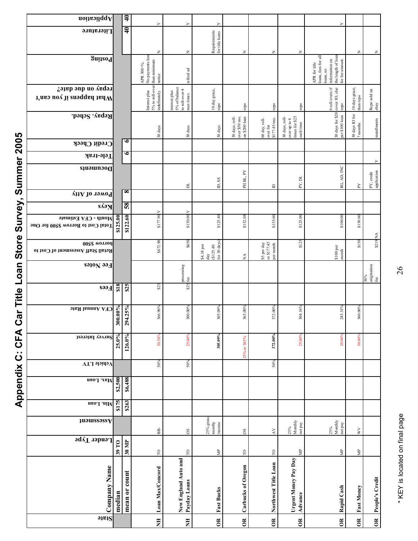| hpplication                                                |          | $\triangleleft$         | ≻                                                        | Y                                                               | $\blacktriangleright$                                             |                                                  |                                                  |                                                               | $\blacktriangleright$                                                                                        |                                            |                           |
|------------------------------------------------------------|----------|-------------------------|----------------------------------------------------------|-----------------------------------------------------------------|-------------------------------------------------------------------|--------------------------------------------------|--------------------------------------------------|---------------------------------------------------------------|--------------------------------------------------------------------------------------------------------------|--------------------------------------------|---------------------------|
| Literature                                                 |          | $\overline{\mathbf{a}}$ | $\mathsf{z}$                                             | $\mathsf{z}$                                                    | Requirements<br>for title loans                                   | $\mathsf{z}$                                     | z                                                | $\mathsf{z}$                                                  |                                                                                                              | $\mathsf{z}$                               | $\mathsf{z}$              |
| gniito <sup>q</sup>                                        |          |                         | No payments less<br>than minimum<br>APR 300+%.<br>notice | referal ad                                                      |                                                                   |                                                  |                                                  |                                                               | loans, fees for all<br>the length of loan<br>information on<br>for fee amount.<br>APR for title<br>loans, no |                                            |                           |
| repay on due date?<br>T'nn y li en aqqan indi              |          |                         | 5% to roll-over<br>Interest plus<br>indefinately         | 5% of balance<br>to roll-over $4$<br>interest plus<br>max times | 10 day grace,<br>repo                                             | repo                                             | repo                                             | repo                                                          | cover IO, else<br>$6$ roll-overs if<br>repo                                                                  | 10 days grace,<br>then repo                | Repo sold on<br>ebay      |
| Repay. Sched.                                              |          |                         | 30 days                                                  | 30 days                                                         | 30 days.                                                          | over \$50 mo.<br>on \$200 loan<br>30 days, roll- | \$177.45/mo.<br>$60~{\rm day}$ roll-<br>over for | times for \$25<br>30 days, roll-<br>over up to 6<br>each time | $30 \text{ days}$ for $\$20$ r<br>per $\$100 \text{ loan}$ r                                                 | $\frac{30 \text{ days}}{7 \text{ months}}$ | installments              |
| Credit Check                                               |          | 6                       |                                                          |                                                                 |                                                                   |                                                  |                                                  |                                                               |                                                                                                              |                                            |                           |
| <b>Iele-trak</b>                                           |          | 6                       |                                                          |                                                                 |                                                                   |                                                  |                                                  |                                                               |                                                                                                              |                                            | $\geq$                    |
| $\mathbf{p}$ ocuments                                      |          |                         |                                                          | <u>hq</u>                                                       | ID, SS                                                            | PH BL, PY                                        | $\mathbf{r}$                                     | PY, DL                                                        | RG, AD, INC                                                                                                  | $\rm \geq$                                 | PY, credit<br>application |
| Ромег оf Аtty                                              |          | 8                       |                                                          |                                                                 |                                                                   |                                                  |                                                  |                                                               |                                                                                                              |                                            |                           |
| sлэу                                                       |          | 58                      |                                                          |                                                                 |                                                                   |                                                  |                                                  |                                                               |                                                                                                              |                                            |                           |
| Month - CFA Estimate<br>Total Cost to Borrow \$500 for One | \$125.00 | \$122.60                | 8177.90Y                                                 | \$150.00Y                                                       | \$125.40                                                          | \$152.08                                         | \$155.00                                         | \$125.00                                                      | \$100.00                                                                                                     | \$150.00                                   | \$219 <sub>NA</sub>       |
| 00SS worrod<br>Retail Staff Assessment of Cost to          |          |                         | \$672.90                                                 | \$650                                                           | $(S125.40$<br>for $30 \text{ days}$<br>\$4.18 per<br>$_{\rm day}$ | $\stackrel{\blacktriangle}{\approx}$             | \$5 per day<br>or \$177.45<br>per month          | \$125                                                         | $$100~\mathrm{per}$ month                                                                                    | \$150                                      |                           |
| <b>Fee Notes</b>                                           |          |                         |                                                          | processing<br>fee                                               |                                                                   |                                                  |                                                  |                                                               |                                                                                                              |                                            | origination<br>fee<br>36% |
| $s$ əə $\mathbf{H}$                                        | \$18     | \$25                    | \$25                                                     | \$25                                                            |                                                                   |                                                  |                                                  |                                                               |                                                                                                              |                                            |                           |
| <b>CFA Annual Rate</b>                                     | 300.00%  | 294.25%                 | 366.96%                                                  | 300.00%                                                         | 305.09%                                                           | 365.00%                                          | 372.00%                                          | 304.16%                                                       | 243.33%                                                                                                      | 360.00%                                    |                           |
| звалади Лалли                                              | 25.0%    | 126.0%                  | 30.58%                                                   | 25.00%                                                          | 305.09%                                                           | 25% or 365%                                      | 372.00%                                          | 25.00%                                                        | 20.00%                                                                                                       | 30.00%                                     |                           |
| $\Lambda$ Г<br>$\Gamma$ D-IMA                              |          |                         | 50%                                                      | 50%                                                             |                                                                   |                                                  | 50%                                              |                                                               |                                                                                                              |                                            |                           |
| ивод .хвМ                                                  | \$2,500  | \$6,488                 |                                                          |                                                                 |                                                                   |                                                  |                                                  |                                                               |                                                                                                              |                                            |                           |
| Min. Loan                                                  | \$175    | \$263                   |                                                          |                                                                 |                                                                   |                                                  |                                                  |                                                               |                                                                                                              |                                            |                           |
| quotussossy                                                |          |                         | BB-                                                      | $_{\rm{SS}}$                                                    | $25\%$ gross monthy<br>income                                     | $_{\rm 50}$                                      | $_{\rm AV}$                                      | $25%$<br>Monthly<br>net pay                                   | $\begin{array}{c} 25\% \\ \text{Monthly} \\ \text{net pay} \end{array}$                                      | $\gtrsim$                                  |                           |
| Гепфег Туре                                                | 39 TO    | <b>38 MP</b>            | $\Omega$                                                 | $\boldsymbol{\mathsf{c}}$                                       | $\mathbb B$                                                       | $\boldsymbol{\mathsf{c}}$                        | $\overline{c}$                                   | È                                                             | $\mathrel{\mathop{\boxplus}}$                                                                                | È                                          |                           |
| Company Name                                               | median   | mean or count           | Loan Max/Concord                                         | New England Auto and<br>Payday Loans                            | <b>Fast Bucks</b>                                                 | Carbucks of Oregon                               | Northwest Title Loan                             | Urgent Money Pay Day<br>Advance                               | Rapid Cash                                                                                                   | <b>Fast Money</b>                          | People's Credit           |
| otate                                                      |          |                         | $\overline{\Xi}$                                         | $\overline{\Xi}$                                                | $\approx$                                                         | $\approx$                                        | $\approx$                                        | $\approx$                                                     | $\approx$                                                                                                    | $\widetilde{\mathbb{S}}$                   | $\tilde{a}$               |

Appendix C: CFA Car Title Loan Store Survey, Summer 2005 **Appendix C: CFA Car Title Loan Store Survey, Summer 2005**

 $*$  KEY is located on final page \* KEY is located on final page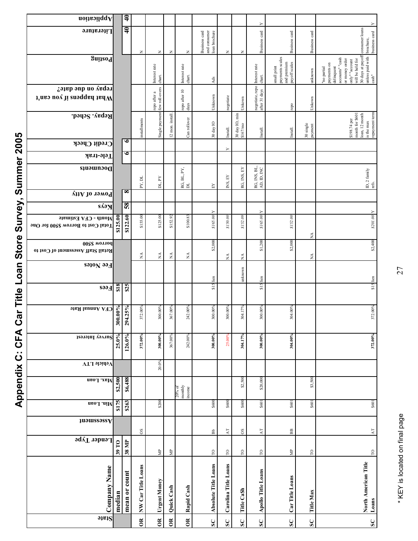| - ישיישיים ברווייויים יושיישיים<br>Ξ      |
|-------------------------------------------|
|                                           |
| $\overline{\phantom{a}}$                  |
|                                           |
| <b>コンピッションコ</b>                           |
| C. CFA Car Title                          |
|                                           |
|                                           |
|                                           |
| .<br>.<br>.<br>.<br>.<br>.<br>.<br>.<br>. |

| <b>ajuig</b>      | Company Name                  | Lender Type                   | <i><b>Quadrussassy</b></i> | Min. Loan | ивод .хвМ                   | $\Lambda$ Г $\overline{1}$ әріңә $\Lambda$ | звалази Калли | <b>CFA Annual Rate</b>   | <b>Res</b> | <b>Fee Notes</b> | 00SS worrod<br>Retail Staff Assessment of Cost to | Month - CFA Estimate<br>Total Cost to Borrow \$500 for One | sлэу | Ромег оf Аtty | Documents                                                                       | Fele-trak | <b>Credit Check</b>                                                               | $1$ 'nas voy di ensqqant isd $W$<br>Repay. Sched. | repay on due date?                                                                                                                                                                   | gniito <sup>q</sup>                            | Literature              | Application             |
|-------------------|-------------------------------|-------------------------------|----------------------------|-----------|-----------------------------|--------------------------------------------|---------------|--------------------------|------------|------------------|---------------------------------------------------|------------------------------------------------------------|------|---------------|---------------------------------------------------------------------------------|-----------|-----------------------------------------------------------------------------------|---------------------------------------------------|--------------------------------------------------------------------------------------------------------------------------------------------------------------------------------------|------------------------------------------------|-------------------------|-------------------------|
|                   | median                        | 39 TO                         |                            | \$175     | \$2,500                     |                                            | 25.0%         | $0.00\%$<br>$\tilde{30}$ | \$18       |                  |                                                   | \$125.00                                                   |      |               |                                                                                 |           |                                                                                   |                                                   |                                                                                                                                                                                      |                                                |                         |                         |
|                   | mean or count                 | 38 MP                         |                            | \$263     | \$6,488                     |                                            | 126.0%        | 294.25%                  | \$25       |                  |                                                   | \$122.60                                                   | 58   | $\infty$      |                                                                                 | 6         | ত                                                                                 |                                                   |                                                                                                                                                                                      |                                                | $\overline{\mathbf{a}}$ | $\overline{\mathbf{a}}$ |
| $\approx$         | NW Car Title Loans            |                               | $_{\rm 80}$                |           |                             |                                            | 372.00%       | 372.00%                  |            |                  | Ž                                                 | \$155.00                                                   |      | PY, DL        |                                                                                 |           | installments                                                                      |                                                   |                                                                                                                                                                                      | $\mathsf{z}$                                   |                         |                         |
| $\approx$         | <b>Urgent Money</b>           | $\mathrel{\mathop{\boxplus}}$ |                            | \$200     |                             | 20.0%                                      | 300.00%       | 300.00%                  |            |                  | $\lessapprox$                                     | \$125.00                                                   |      | DL, PY        |                                                                                 |           | Single payment                                                                    | few roll-overs<br>repo after a                    | Interest rate<br>chart.                                                                                                                                                              | z                                              |                         |                         |
| $\alpha$          | Quick Cash                    | È                             |                            |           |                             |                                            | 367.00%       | 367.00%                  |            |                  | Ž                                                 | \$152.92                                                   |      |               |                                                                                 |           | 12 mon. install                                                                   |                                                   |                                                                                                                                                                                      | z                                              |                         |                         |
| $\approx$         | Rapid Cash                    |                               |                            |           | monthly<br>income<br>20% of |                                            | 242.00%       | 242.00%                  |            |                  | $\lessapprox$                                     | \$100.83                                                   |      | DL,           | RG, BL, PY                                                                      |           | Can rollover                                                                      | repo after 10<br>days                             | Interest rate<br>chart.                                                                                                                                                              | $\mathsf{z}$                                   |                         |                         |
| ${\bf SC}$        | <b>Absolute Title Loans</b>   | $\mathsf{D}$                  | $\mathbb B$                | \$600     |                             |                                            | 300.00%       | 300.00%                  | \$15 lien  |                  | \$2,000                                           | \$165.00 Y                                                 |      | 요             |                                                                                 |           | 30 day 10                                                                         | Unknown                                           | Ads                                                                                                                                                                                  | Business card<br>and consumer<br>loan brochure |                         |                         |
| ${\bf SC}$        | Carolina Title Loans          | $\boldsymbol{\mathsf{c}}$     | $\lambda\text{T}$          | \$600     |                             |                                            | 25.00%        | 300.00%                  |            |                  | $\stackrel{\triangle}{\simeq}$                    | \$150.00                                                   |      | $INS, EY$     |                                                                                 | ≻         | $l$ Install.                                                                      | negotiate                                         |                                                                                                                                                                                      | Z                                              |                         |                         |
| SC                | Title Ca\$h                   | S                             | SO                         | \$600     | \$2,500                     |                                            | 304.17%       | 304.17%                  |            | unknown          | $\stackrel{\triangle}{\simeq}$                    | \$152.09                                                   |      |               | RG, INS, EY                                                                     |           | 30 day IO, min<br>\$167/mo                                                        | Unkown                                            |                                                                                                                                                                                      | z                                              |                         |                         |
| SC                | Apollo Title Loans            | $\mathop{\mathbb{C}}$         | $\mathsf{A}\mathsf{T}$     | \$601     | \$20,000                    |                                            | 300.00%       | 300.00%                  | \$15 lien  |                  | \$1,200                                           | S165.00 Y                                                  |      |               | $\mathsf{RG}, \mathsf{NS}, \mathsf{BL}, \mathsf{AD}, \mathsf{ID}, \mathsf{INC}$ |           | Install.                                                                          | negotiate, repo<br>after 31 days                  | Interest rate<br>$chart$                                                                                                                                                             | Business card                                  | $\blacktriangleright$   |                         |
| SC                | Car Title Loans               | È                             | $_{\rm BB}$                | \$601     |                             |                                            | 304.00%       | 304.00%                  |            |                  | \$2,000                                           | \$152.00                                                   |      |               |                                                                                 |           | Install.                                                                          | repo                                              | payments scales<br>and premium<br>payoff scales<br>small print                                                                                                                       | Business card                                  |                         |                         |
| ${\bf S} {\bf C}$ | Title Max                     | $\boldsymbol{\Omega}$         |                            | \$601     | \$3,500                     |                                            |               |                          |            |                  | Z                                                 | $\tilde{z}$                                                |      |               |                                                                                 |           | 30 single<br>payment                                                              | Unkown                                            | unknown                                                                                                                                                                              | Business card                                  |                         |                         |
| ${\bf S} {\bf C}$ | North American Title<br>Loans | $\mathop{\mathbb{C}}$         | $\mathbf{A}^\mathsf{T}$    | \$601     |                             |                                            | 372.00%       | 372.00%                  | \$15 lien  |                  | \$2,400                                           | $$201.00$ Y                                                |      |               | ID, 2 family<br>refs.                                                           |           | repayment term<br>month for \$601<br>loan, 12 month<br>\$198.74 per<br>is the max |                                                   | 30 days at payoff consumer loans<br>unless paid with<br>cash"<br>accounts" "cash<br>or money order<br>will be held for<br>only" "account<br>payments on<br>delinquent<br>"no partial | business card<br>brochure,                     | $\blacktriangleright$   |                         |

 $*$  KEY is located on final page \* KEY is located on final page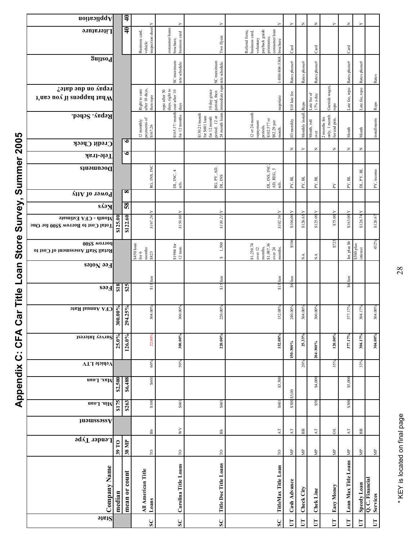| Application                                                |          | 40                        | $\blacktriangleright$                                                            | $\blacktriangleright$                                     | $\blacktriangleright$                                                                  | $\blacktriangleright$                                                                                      | $\blacktriangleright$         | $\mathsf{z}$                        | $\mathbb Z$                    | $\blacktriangleright$                          | z                    | $\blacktriangleright$         |                             |
|------------------------------------------------------------|----------|---------------------------|----------------------------------------------------------------------------------|-----------------------------------------------------------|----------------------------------------------------------------------------------------|------------------------------------------------------------------------------------------------------------|-------------------------------|-------------------------------------|--------------------------------|------------------------------------------------|----------------------|-------------------------------|-----------------------------|
| Literature                                                 |          | $\overline{\mathbf{a}}$   | inspection sheet<br>Business card,<br>vehicle                                    | consumer loans<br>business card<br>brochure,              | Two flyers                                                                             | payback guide<br>consumer loan<br>Referral form,<br>business card,<br>printoutss,<br>voluntary<br>brochure | Card                          |                                     | Card                           |                                                | Card                 |                               |                             |
| Posting                                                    |          |                           |                                                                                  | SC maximum<br>rate schedule.                              | SC maximum<br>rate schedule.                                                           | 1-800-804-5368.                                                                                            | Rates phone#                  | Rates phone#                        | Rates phone#                   |                                                | Rates phone#         | Rates phone#                  | Rates                       |
| repay on due date?<br>T'nn bappens it sought               |          |                           | Right to cure<br>after 10 days,<br>then repo                                     | days, right to<br>pcure after 10<br>repo after 30<br>days | immediate repo<br>10 day grace<br>period, then                                         | negotiate                                                                                                  | \$10 late fee                 | Repo                                | Late fee of<br>$17\%$ a day    | Garnish wages<br>repo                          | Late fee, repo       | Late fee, repo                | Repo                        |
| Repay. Sched.                                              |          |                           | payments of<br>\$167.26<br>$12$ monthly                                          | \$165.37/ month<br>for 12 months.                         | 24 month loans.<br>\$130.21/month<br>period. 12 or<br>for \$601 loan<br>for $12$ month | 12 or 24 month<br>\$102.577 or<br>repayment<br>\$82.29 per<br>periods.<br>$\mathop{\rm month}\nolimits$    | IO monthly                    | Monthly install.                    | Month, roll<br>over            | only, 1 month<br>2 months fee<br>fee and prin. | Month                | Month                         | installments                |
| Credit Check                                               |          | 6                         |                                                                                  |                                                           |                                                                                        |                                                                                                            | $\mathsf{z}$                  | Y                                   | $\mathsf{z}$                   | $\mathsf{z}$                                   | $\mathsf{z}$         | $\mathsf{z}$                  |                             |
| Fele-trak                                                  |          | 6                         |                                                                                  |                                                           |                                                                                        |                                                                                                            |                               |                                     |                                |                                                |                      |                               |                             |
| Documents                                                  |          |                           | RG, INS, INC                                                                     | DL, INC, 4<br>refs.                                       | RG, PY, AD,<br>DL, INS                                                                 | DL, INS, INC,<br>AD, REG, 5<br>refs.                                                                       | PY, BL                        | PY, BL                              | PY, BL                         | Σ                                              | PY, BL               | DL, PY, BL                    | PY, income                  |
| үнд до тэмо <sup>д</sup>                                   |          | 8                         |                                                                                  |                                                           |                                                                                        |                                                                                                            |                               |                                     |                                |                                                |                      |                               |                             |
| sлэу                                                       |          | 58                        |                                                                                  | γ                                                         | γ                                                                                      | $\geq$                                                                                                     |                               |                                     |                                |                                                |                      | ≻                             |                             |
| Month - CFA Estimate<br>Total Cost to Borrow \$500 for One | \$125.00 | \$122.60                  | S167.26 Y                                                                        | \$150.00                                                  | \$130.21                                                                               | \$102.56                                                                                                   | \$106.00 Y                    | \$126.65                            | \$125.00Y                      | \$75.00Y                                       | \$163.00Y            | \$126.74                      | \$126.67                    |
| 00SS worrod<br>Retail Staff Assessment of Cost to          |          |                           | \$450 loan<br>$\begin{array}{c}\n\text{momths} \\ \$823\n\end{array}$<br>for $6$ | \$1984 for<br>12 mon.                                     | 1,500<br>S                                                                             | \$1,230.74<br>81,987.36<br>months,<br>over 12<br>over 24<br>months.                                        | \$106                         | $\stackrel{\blacktriangle}{\simeq}$ | $\stackrel{\triangle}{\simeq}$ | \$725                                          | Int. plus \$6        | ssoo plus<br>interest         | 432%                        |
| <b>Fee Notes</b>                                           |          |                           | \$15 lien                                                                        |                                                           | \$15 lien                                                                              | \$15 lien                                                                                                  | lien<br>\$6                   |                                     |                                |                                                | lien<br>\$6          |                               |                             |
| <b>Fees</b>                                                | \$18     | \$25                      |                                                                                  |                                                           |                                                                                        |                                                                                                            |                               |                                     |                                |                                                |                      |                               |                             |
| <b>CFA Annual Rate</b>                                     | 300.00%  | 14.25%<br>$\overline{29}$ | 304.00%                                                                          | 300.00%                                                   | 220.00%                                                                                | 152.08%                                                                                                    | 240.00%                       | 304.00%                             | 300.00%                        |                                                | 377.17%              | 304.17%                       | 304.00%                     |
| Survey Interest                                            | 25.0%    | 126.0%                    | 22.00%                                                                           | 300.00%                                                   | 220.00%                                                                                | 152.08%                                                                                                    | $150-300%$                    | 25.33%                              | 204-300%                       | 120.00%                                        | 377.17%              | 304.17%                       | 304.00%                     |
| $\Lambda$ Г $\overline{1}$ эрэнэ $\Lambda$                 |          |                           | 60%                                                                              | 50%                                                       |                                                                                        |                                                                                                            |                               | 20%                                 |                                | 35%                                            |                      | 33%                           |                             |
| пвод жим                                                   | \$2,500  | \$6,488                   | \$601                                                                            |                                                           |                                                                                        | \$3,500                                                                                                    |                               |                                     | \$4,000                        |                                                | \$5,000              |                               |                             |
| Min. Loan                                                  | \$175    | \$263                     | \$100                                                                            | \$601                                                     | \$601                                                                                  | \$601                                                                                                      | \$300 \$5,00                  |                                     | \$50                           |                                                | \$300                |                               |                             |
| <i>quoussossv</i>                                          |          |                           | $\mathbb B$                                                                      | $\geq$                                                    | $\mathbb B$                                                                            | $\lambda$ T                                                                                                | $\rm{K}$                      | $_{\rm BB}$                         | $\Lambda\Gamma$                | $_{\rm{SS}}$                                   | $\rm \overline{M}$   | $_{\rm BB}$                   |                             |
| Lender $T$ ype                                             | 39 TO    | 38 MP                     | $\mathsf{D}$                                                                     | g                                                         | ρ                                                                                      | p                                                                                                          | $\mathrel{\mathop{\boxplus}}$ |                                     | È                              | $\mathbb{R}^n$                                 | È                    | $\mathrel{\mathop{\boxplus}}$ | $\mathbb R$                 |
| Company Name                                               | median   | count<br>mean or          | All American Title<br>Loans                                                      | Carolina Title Loans                                      | Title Doc Title Loans                                                                  | TitleMax Title Loan                                                                                        | Cash Advance                  | Check City                          | <b>Chek Line</b>               | Easy Money                                     | Loan Max Title Loans | Speedy Loan                   | Q. C. Financial<br>Services |
| <b>atate</b>                                               |          |                           | ${\bf SC}$                                                                       | ${\bf SC}$                                                | SC                                                                                     | $S_{\rm C}$                                                                                                | Ë                             | Ë                                   | $\mathbb{E}$                   | E                                              | $\Box$               | $5\overline{ }$               | $\Box$                      |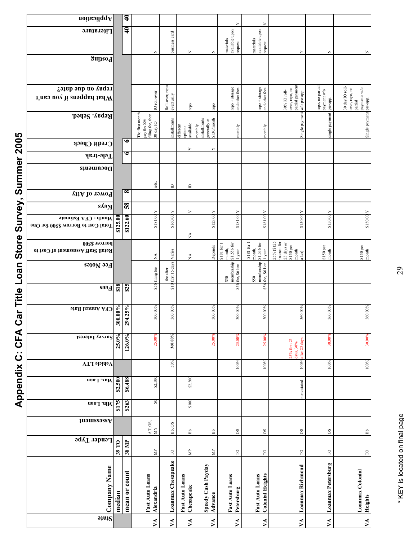| noitsplication                               |          | $\triangleleft$     |                                                                  |                                 |                                   |                                                        | $\rightarrow$                                  | $\mathbb{Z}$                                                           |                                                                                                                 |                                             |                                                                          |
|----------------------------------------------|----------|---------------------|------------------------------------------------------------------|---------------------------------|-----------------------------------|--------------------------------------------------------|------------------------------------------------|------------------------------------------------------------------------|-----------------------------------------------------------------------------------------------------------------|---------------------------------------------|--------------------------------------------------------------------------|
| Literature                                   |          | $\overline{\bf 40}$ |                                                                  |                                 |                                   |                                                        |                                                |                                                                        |                                                                                                                 |                                             |                                                                          |
|                                              |          |                     |                                                                  | business card                   |                                   |                                                        | available upon<br>materials<br>request         | available upon<br>materials<br>request                                 |                                                                                                                 |                                             |                                                                          |
| Posting                                      |          |                     | z                                                                |                                 | z                                 | $\mathbb{Z}$                                           |                                                |                                                                        | z                                                                                                               | $\mathsf{z}$                                | z                                                                        |
|                                              |          |                     |                                                                  |                                 |                                   |                                                        |                                                |                                                                        |                                                                                                                 |                                             |                                                                          |
|                                              |          |                     |                                                                  |                                 |                                   |                                                        |                                                |                                                                        |                                                                                                                 |                                             |                                                                          |
| repay on due date?<br>T'nn bappens it sought |          |                     |                                                                  |                                 |                                   |                                                        |                                                |                                                                        |                                                                                                                 |                                             |                                                                          |
|                                              |          |                     | IO roll-over                                                     | Roll-over, repo<br>eventually   | repo                              | repo                                                   | repo + storage<br>and other fees               | repo + storage<br>and other fees                                       | partial payment<br>over, repo, no<br>30% IO roll-<br>w/o pre-app.                                               | repo, no partial<br>payment w/o<br>pre-app. | 30 day IO roll-<br>payments w/o<br>pre-app.<br>over, repo, no<br>partial |
| Repay. Sched.                                |          |                     |                                                                  |                                 |                                   |                                                        |                                                |                                                                        |                                                                                                                 |                                             |                                                                          |
|                                              |          |                     | The first month<br>filing fee, then<br>pay the \$56<br>30 day 1O | installments                    | options<br>available<br>different | installments<br>generally at<br>\$130/month<br>monthly | monthly                                        | monthly                                                                | Single payment                                                                                                  | single payment                              | Single payment                                                           |
| Credit Check                                 |          | 6                   |                                                                  |                                 |                                   |                                                        |                                                |                                                                        |                                                                                                                 |                                             |                                                                          |
| Fele-trak                                    |          | $\bullet$           |                                                                  |                                 | Σ                                 | Y                                                      |                                                |                                                                        |                                                                                                                 |                                             |                                                                          |
| $\mathbf{S}$                                 |          |                     |                                                                  |                                 |                                   |                                                        |                                                |                                                                        |                                                                                                                 |                                             |                                                                          |
|                                              |          |                     |                                                                  |                                 |                                   |                                                        |                                                |                                                                        |                                                                                                                 |                                             |                                                                          |
| үнд төмөч                                    |          | 8                   | refs.                                                            | $\mathsf{D}$                    | $\mathbf{r}$                      |                                                        |                                                |                                                                        |                                                                                                                 |                                             |                                                                          |
| $s$ Аә $\chi$                                |          | 58                  |                                                                  |                                 |                                   |                                                        |                                                |                                                                        |                                                                                                                 |                                             |                                                                          |
| Month - CFA Estimate                         |          |                     | \$181.00 Y                                                       | \$160.00 Y                      | Y                                 | \$125.00Y                                              | <b>8181.00 Y</b>                               | \$181.00 Y                                                             | 8150.00 Y                                                                                                       | \$150.00Y                                   | \$150.00Y                                                                |
| Total Cost to Borrow \$500 for One           | \$125.00 | \$122.60            |                                                                  |                                 |                                   |                                                        |                                                |                                                                        |                                                                                                                 |                                             |                                                                          |
| 00SS worrod                                  |          |                     |                                                                  |                                 | $\lessapprox$                     |                                                        |                                                |                                                                        |                                                                                                                 |                                             |                                                                          |
| Retail Staff Assessment of Cost to           |          |                     |                                                                  | Varies                          |                                   | Depends                                                | \$1,556 for<br>\$181 for 1<br>month,<br>1 year | \$181 for 1<br>\$1,556 for<br>$\mathop{\rm month}\nolimits,$<br>1 year | 25% (\$125<br>interest for<br>25 days or<br>\$150 per<br>$\mathop{\rm mod}\nolimits$<br>$\operatorname{after})$ | \$150 per<br>month                          | \$150 per<br>month                                                       |
| Fee Notes                                    |          |                     | $\stackrel{\triangle}{\scriptstyle\sim}$                         |                                 | Z                                 |                                                        |                                                |                                                                        |                                                                                                                 |                                             |                                                                          |
|                                              |          |                     | \$56 filing fee                                                  | fee after<br>\$10 first 15 days |                                   |                                                        | membership<br>\$56 fee, \$6 lien<br>\$50       | membership<br>\$56 fee, \$6 lien<br>\$50                               |                                                                                                                 |                                             |                                                                          |
| $s$ əə $\overline{A}$                        | \$18     | \$25                |                                                                  |                                 |                                   |                                                        |                                                |                                                                        |                                                                                                                 |                                             |                                                                          |
|                                              |          |                     |                                                                  |                                 |                                   |                                                        |                                                |                                                                        |                                                                                                                 |                                             |                                                                          |
| <b>CFA Annual Rate</b>                       | 300.00%  | 294.25%             | 300.00%                                                          | 360.00%                         |                                   | 300.00%                                                | 300.00%                                        | 300.00%                                                                | 360.00%                                                                                                         | 360.00%                                     | 360.00%                                                                  |
|                                              |          |                     |                                                                  |                                 |                                   |                                                        |                                                |                                                                        |                                                                                                                 |                                             |                                                                          |
| Survey Interest                              | 25.0%    | 126.0%              | 25.00%                                                           | 360.00%                         |                                   | 25.00%                                                 | 25.00%                                         | 25.00%                                                                 |                                                                                                                 | 30.00%                                      | 30.00%                                                                   |
|                                              |          |                     |                                                                  |                                 |                                   |                                                        |                                                |                                                                        | days, 30%<br>after 25 days<br>25% first 25                                                                      |                                             |                                                                          |
| $\Lambda$ Г<br>$\Gamma$ Diup T               |          |                     |                                                                  | 50%                             |                                   |                                                        | 100%                                           | 100%                                                                   | 100%                                                                                                            | 100%                                        | 100%                                                                     |
| Max. Loan                                    |          |                     |                                                                  |                                 |                                   |                                                        |                                                |                                                                        |                                                                                                                 |                                             |                                                                          |
|                                              | \$2,500  | \$6,488             | \$2,500                                                          |                                 | \$2,500                           |                                                        |                                                |                                                                        | none stated                                                                                                     |                                             |                                                                          |
| Min. Loan                                    | \$175    | \$263               | $\boldsymbol{\mathcal{S}}$                                       |                                 | \$100                             |                                                        |                                                |                                                                        |                                                                                                                 |                                             |                                                                          |
|                                              |          |                     |                                                                  |                                 |                                   |                                                        |                                                |                                                                        |                                                                                                                 |                                             |                                                                          |
| <i><b>Quadrussess</b></i>                    |          |                     | $\frac{\text{AT, OS}}{\text{MY}}$                                | Bb, OS                          |                                   |                                                        |                                                |                                                                        |                                                                                                                 |                                             |                                                                          |
| Гепфет Туре                                  |          |                     |                                                                  |                                 | $\mathbb B$                       | $\mathbb B$                                            | $\rm{SO}$                                      | 80                                                                     | $\rm{SO}$                                                                                                       | $80\,$                                      | $\frac{1}{2}$                                                            |
|                                              | 39 TO    | 38 MP               | $\mathrel{\mathop{\boxplus}}$                                    | $\mathsf{D}$                    | $\mathbb{\Xi}$                    | $\mathrel{\mathop{\boxplus}}$                          | p                                              | $\mathbf{c}$                                                           | $\mathsf{C}$                                                                                                    | $\mathbf{c}$                                | $\overline{C}$                                                           |
|                                              |          |                     |                                                                  |                                 |                                   |                                                        |                                                |                                                                        |                                                                                                                 |                                             |                                                                          |
|                                              |          |                     |                                                                  |                                 |                                   |                                                        |                                                |                                                                        |                                                                                                                 |                                             |                                                                          |
|                                              |          |                     |                                                                  |                                 |                                   |                                                        |                                                |                                                                        |                                                                                                                 |                                             |                                                                          |
| Company Name                                 | median   | mean or count       | Fast Auto Loans<br>Alexandria                                    | Loanmax Chesapeake              | Fast Auto Loans<br>Chesapeake     | Speedy Cash Payday<br>Advance                          | Fast Auto Loans<br>Petersburg                  | <b>Colonial Heights</b><br>Fast Auto Loans                             | Loanmax Richmond                                                                                                | Loanmax Petersburg                          | Loanmax Colonial                                                         |
|                                              |          |                     |                                                                  |                                 |                                   |                                                        |                                                |                                                                        |                                                                                                                 |                                             | Heights                                                                  |
| otate                                        |          |                     | VA                                                               | VA                              | VA                                | VA                                                     | $V\!A$                                         | VA                                                                     | $\mathbf{V}$                                                                                                    | VA                                          | $\mathbf{V}$                                                             |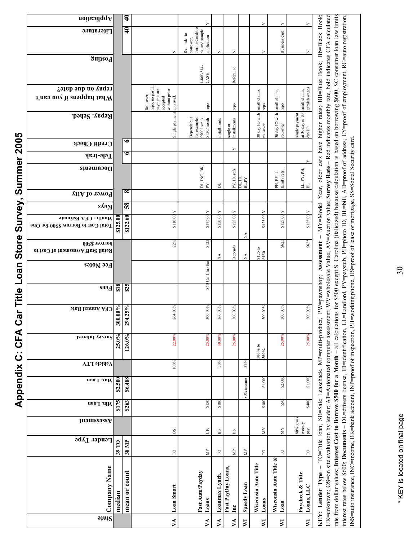| <b>atate</b>            | Company Name                                                                                                                                                                                                                                                          | Lender Type                       | <b>Quadrussess</b>         | Min. Loan | ивод .хвМ     | $\Lambda$ Ерісре Г $\Lambda$ | asanatal Interest | <b>CFA Annual Rate</b> | $s$ əə $\overline{A}$ | Pee Notes         | DOCK WOTION<br>Retail Staff Assessment of Cost to | Month - CFA Estimate<br>Total Cost to Borrow \$500 for One | sлэу | үнд то тэмоЧ                                              | $\mathbf{S}$       | <b>Credit Check</b><br>$M$ su-bl $9T$ | Repay. Sched.                                               | repay on due date?<br>T'ans uov di ensequed tedW                                         | Posting              | Literature                                                                       | Application |
|-------------------------|-----------------------------------------------------------------------------------------------------------------------------------------------------------------------------------------------------------------------------------------------------------------------|-----------------------------------|----------------------------|-----------|---------------|------------------------------|-------------------|------------------------|-----------------------|-------------------|---------------------------------------------------|------------------------------------------------------------|------|-----------------------------------------------------------|--------------------|---------------------------------------|-------------------------------------------------------------|------------------------------------------------------------------------------------------|----------------------|----------------------------------------------------------------------------------|-------------|
|                         | median                                                                                                                                                                                                                                                                | 39 TO                             |                            | \$175     | \$2,500       |                              | 25.0%             | 300.00%                | \$18                  |                   |                                                   | \$125.00                                                   |      |                                                           |                    |                                       |                                                             |                                                                                          |                      |                                                                                  |             |
|                         | mean or count                                                                                                                                                                                                                                                         | 38 MP                             |                            | \$263     | \$6,488       |                              | 126.0%            | 294.25%                | \$25                  |                   |                                                   | \$122.60                                                   | 58   | $\infty$                                                  |                    | $\bullet$                             | 6                                                           |                                                                                          |                      | 40                                                                               | 40          |
| VA                      | Loan Smart                                                                                                                                                                                                                                                            | p                                 | $_{\rm SO}$                |           |               | 100%                         | 22.00%            | 264.00%                |                       |                   | 22%                                               | <b>8110.00 Y</b>                                           |      |                                                           |                    |                                       | Single payment                                              | repo, no partial<br>payments are<br>without prior<br>Roll-over,<br>accepted<br>approval. |                      | Z                                                                                |             |
| VA                      | Fast Auto/Payday<br>Loans                                                                                                                                                                                                                                             | $\mathbb{R}$                      | ŪК                         | \$150     |               |                              | 25.00%            | 300.00%                |                       | \$50 Car Club fee | \$125                                             | \$175.00                                                   | ⋗    |                                                           | DL, INC, BK,<br>PY |                                       | Depends but<br>for example:<br>\$500 loan is<br>\$150/month | repo                                                                                     | $1-800-514-$<br>CASH | ≻<br>Terms/Conditio<br>ns, and sample<br>Reminder to<br>application<br>borrower, |             |
| YA                      | Loanmax Lynch.                                                                                                                                                                                                                                                        | P                                 | 孟                          | \$100     |               | 50%                          | 30.00%            | 360.00%                |                       |                   | $\stackrel{\triangle}{\geq}$                      | \$150.00                                                   |      | Ħ                                                         |                    |                                       | installments                                                |                                                                                          |                      | $\mathsf{z}$                                                                     |             |
| VA                      | Fast PayDay Loans,<br>$\ln c$                                                                                                                                                                                                                                         | $\mathrel{\mathop{\boxplus}}$     | 喦                          |           |               |                              | 25.00%            | 300.00%                |                       |                   | Depends                                           | \$125.00                                                   |      | PY, ID, refs.                                             |                    | ≻                                     | installments<br>single or                                   | repo                                                                                     | Referal ad           | z                                                                                |             |
| Þ                       | Speedy Loan                                                                                                                                                                                                                                                           | $\mathop{\boxtimes}^{\mathbf{p}}$ |                            |           | $80\%$ income | 33%                          |                   |                        |                       |                   | $\stackrel{\triangle}{\geq}$                      | Ž                                                          |      | DL, ID,<br>BL, PY                                         |                    |                                       |                                                             |                                                                                          |                      |                                                                                  |             |
| Σ                       | Wisconsin Auto Title<br>Loans                                                                                                                                                                                                                                         | $\mathsf{S}$                      | ΧN                         | \$100     | \$1,000       |                              | 300% to<br>360%   | 300.00%                |                       |                   | \$125 to<br>\$150                                 | \$125.00Y                                                  |      |                                                           |                    |                                       | 30 day IO with<br>roll-over                                 | small claims,<br>repo                                                                    |                      | $\blacktriangleright$<br>z                                                       |             |
| Σ                       | Wisconsin Auto Title &<br>Loan                                                                                                                                                                                                                                        | բ                                 | ΧN                         | \$50      | \$2,000       |                              | 25.00%            | 300.00%                |                       |                   | \$625                                             | \$125.00                                                   |      | family refs.<br>PH, EY, 4                                 |                    |                                       | 30 day IO with<br>roll-over                                 | small claims,<br>repo                                                                    |                      | ≻<br>Business card                                                               |             |
| $\overline{\mathbf{M}}$ | Paycheck & Title<br>Loans, LLC                                                                                                                                                                                                                                        | $\boldsymbol{\beta}$              | 80% gross<br>weekly<br>pay | \$400     | \$1,000       |                              | 25.00%            | 300.00%                |                       |                   | \$625                                             | \$125.00Y                                                  |      | $\frac{\mathsf{L}\mathsf{L}}{\mathsf{B}\mathsf{L}}$ , PH, | ≻                  |                                       | single payment<br>at 30 day or 30 s<br>day IO               | garnish wages<br>small claims,                                                           |                      | $\blacktriangleright$<br>$\mathsf{z}$                                            |             |
|                         | IK=unknown: OS=on site evaluation by lender: AT=Automated computer assessment: WV=wholesale Value: AV=Auction value: Survey Rate - Red indicates monthly rate hold indicates CFA calculated<br>KEY: Lender Type - TO=Title loan, SB=Sale Leaseback, MP=multi-product, |                                   |                            |           |               |                              |                   |                        |                       |                   | PW=pawnshop; Assessment -                         |                                                            |      |                                                           |                    |                                       |                                                             |                                                                                          |                      | MY=Model Year, older cars have higher rates; BB=Blue Book; Bb=Black Book;        |             |

rate from dollar values; Interest Cost to Borrow \$500 for a Month - all calculations for \$500 except S. Carolina (italicized) because calculation is based on borrowing \$600, SC consumer loan law limits **KEY: Lender Type** – TO=Title loan, SB=Sale Leaseback, MP=multi-product, PW=pawnshop; **Assessment** – MY=Model Year, older cars have higher rates; BB=Blue Book; Bb=Black Book; UK=unknown; OS=on site evaluation by lender; AT=Automated computer assessment; WV=wholesale Value; AV=Auction value; **Survey Rate** – Red indicates monthly rate, bold indicates CFA calculated rate from dollar values; Interest Cost to Borrow \$500 for a Month - all calculations for \$500 except S. Carolina (italicized) because calculation is based on borrowing \$600, SC consumer loan law limits interest rates below \$600; Documents - DL=drivers license, ID=identification, LL=Landlord, PY=paystub, PH=photo ID, BL=bill, AD=proof of address, EY=proof of employment, RG=auto registration, interest rates below \$600; **Documents** – DL=drivers license, ID=identification, LL=Landlord, PY=paystub, PH=photo ID, BL=bill, AD=proof of address, EY=proof of employment, RG=auto registration, lully late, INS=auto insurance, INC=income, BK=bank account, INP=proof of inspection, PH=working phone, HS=proof of lease or mortgage, SS=Social Security card. INS=auto insurance, INC=income, BK=bank account, INP=proof of inspection, PH=working phone, HS=proof of lease or mortgage, SS=Social Security card. uc, purvey nate ļ by renuer,  $\mathbb{H}$ ⊻ 5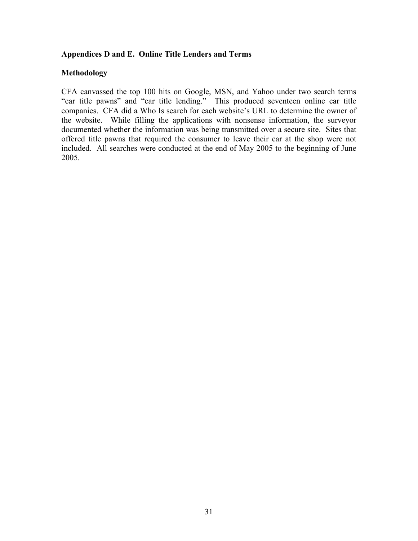### **Appendices D and E. Online Title Lenders and Terms**

### **Methodology**

CFA canvassed the top 100 hits on Google, MSN, and Yahoo under two search terms "car title pawns" and "car title lending." This produced seventeen online car title companies. CFA did a Who Is search for each website's URL to determine the owner of the website. While filling the applications with nonsense information, the surveyor documented whether the information was being transmitted over a secure site. Sites that offered title pawns that required the consumer to leave their car at the shop were not included. All searches were conducted at the end of May 2005 to the beginning of June 2005.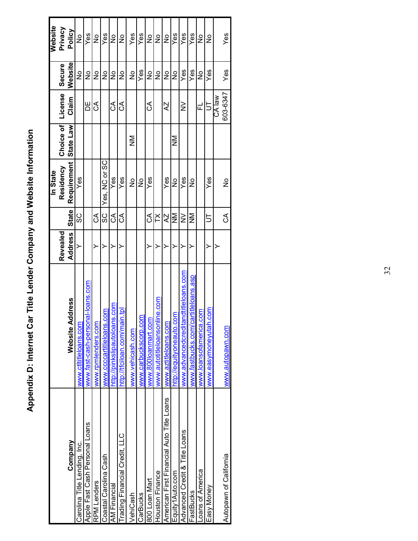| <b>Appendix L</b> |
|-------------------|

|                                           |                                         |          |                                | In State      |                   |                    |               | Website       |
|-------------------------------------------|-----------------------------------------|----------|--------------------------------|---------------|-------------------|--------------------|---------------|---------------|
|                                           |                                         | Revealed |                                | Residency     | Choice of         | License            | <b>Secure</b> | Privacy       |
| Company                                   | ddress<br>Website A                     | Address  | <b>State</b>                   | Requirement   | State Law         | Claim              | Website       | Policy        |
| Carolina Title Lending, Inc.              | www.ctltitleloans.com                   | ≻        | ပ္ပ                            | Yes           |                   |                    | $\frac{1}{2}$ | $\frac{1}{2}$ |
| Apple Fast Cash Personal Loans            | al-loans.com<br>www.fast-cash-person    |          |                                |               |                   | Ш                  | $\frac{1}{2}$ | Yes           |
| RPM Lenders                               | www.rpmlenders.com                      | ≻        | $\mathcal{L}$                  |               |                   | ర్                 | ž             | ž             |
| Coastal Carolina Cash                     | www.ccccartitleloans.com                | >        | ပ္တ                            | Yes, NC or SC |                   |                    | $\frac{1}{2}$ | Yes           |
| AM Financial                              | http://pinkslipautoloans.com            | >        | S                              | Yes           |                   | రే                 | $\frac{1}{2}$ | $\frac{1}{2}$ |
| rading Financial Credit, LLC              | <u>n.tpl</u><br>http://tfciloan.com/mai | >        | న్                             | Yes           |                   | Z                  | $\frac{1}{2}$ | $\frac{1}{2}$ |
| VehiCash                                  | www.vehicash.com                        |          |                                | ž             | $\bar{\Xi}$       |                    | $\frac{1}{2}$ | Yes           |
| CarBucks                                  | 티<br>www.carbuckscorp.cor               |          |                                | $\frac{1}{2}$ |                   |                    | Yes           | Yes           |
| 800 Loan Mart                             | www.800loanmart.com                     | >        | S                              | Yes           |                   | ర్                 | ž             | $\frac{1}{2}$ |
| Houston Finance                           | ine.com<br>www.autotitleloansonl        | ≻        | ×                              |               |                   |                    | ž             | $\frac{1}{2}$ |
| American First Financial Auto Title Loans | www.aztitleloans.com                    |          | $\lambda$ Z                    | Yes           |                   | RZ                 | $\frac{1}{2}$ | $\frac{1}{2}$ |
| Equity1Auto.com                           | http://equityoneauto.com                | >        | $\mathsf{\Sigma}_{\mathsf{Z}}$ | $\frac{1}{2}$ | $\mathsf{\Sigma}$ |                    | $\frac{1}{2}$ | Yes           |
| Advanced Credit & Title Loans             | www.advancedcreditandtitleloans.com     | >        | $\geq$                         | Yes           |                   | $\geq$             | Yes           | Yes           |
| FastBucks                                 | www.fastbucks.com/cartitleloans.asp     |          | $\mathsf{\Xi}$                 | ş             |                   |                    | Yes           | Yes           |
| Loans of America                          | www.loansofamerica.com                  |          |                                |               |                   | 군                  | $\frac{1}{2}$ | $\frac{1}{2}$ |
| Easy Money                                | $\frac{20}{2}$<br>www.easymoneyutah.    | >        | 5                              | Yes           |                   | 5                  | Yes           | $\frac{1}{2}$ |
| Autopawn of California                    | www.autopawn.com                        |          | S                              | $\frac{1}{2}$ |                   | 603-6347<br>CA law | Yes           | Yes           |
|                                           |                                         |          |                                |               |                   |                    |               |               |